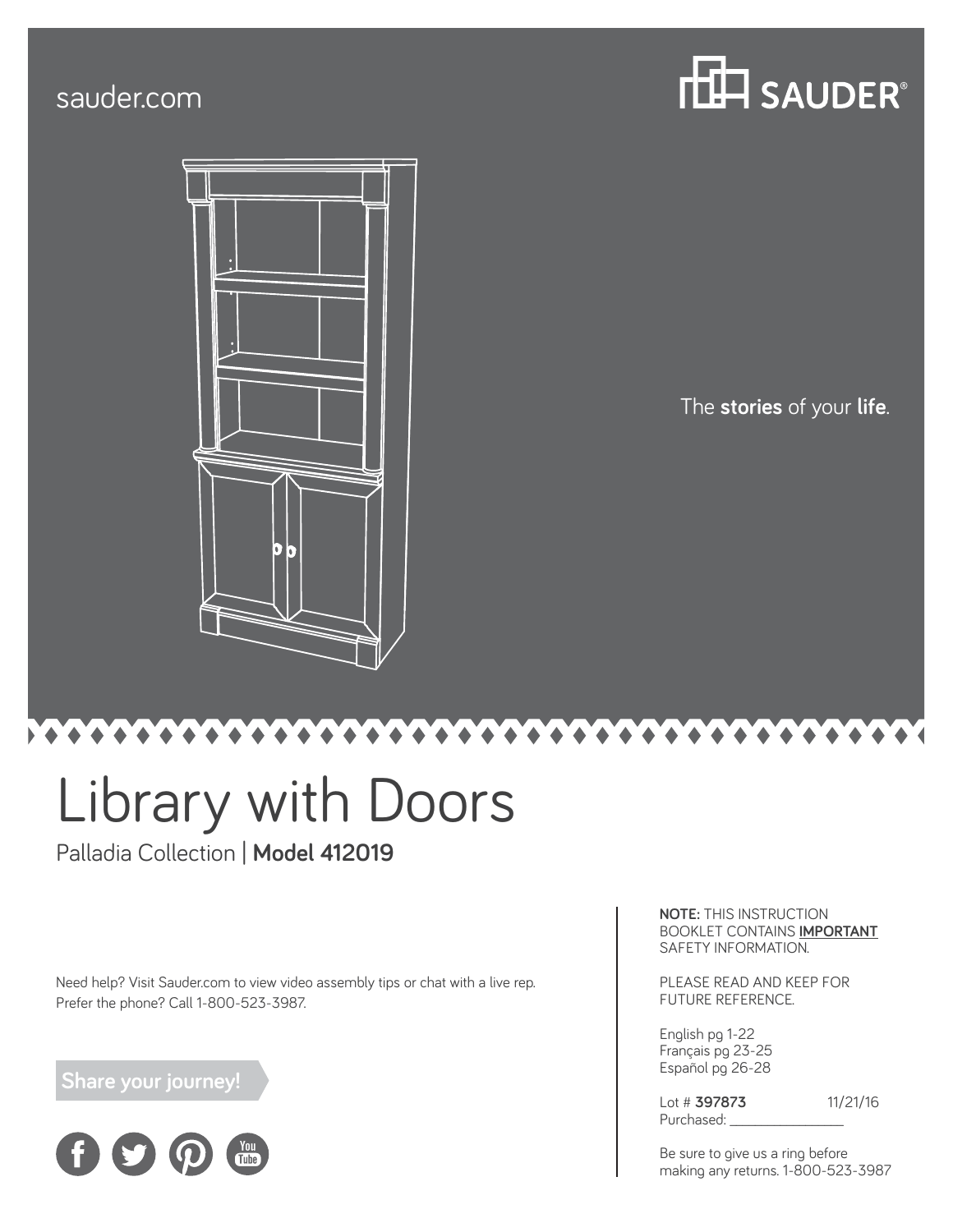## sauder.com





The **stories** of your **life**.

# Library with Doors

### Palladia Collection | **Model 412019**

Need help? Visit Sauder.com to view video assembly tips or chat with a live rep. Prefer the phone? Call 1-800-523-3987.

### **Share your journey!**



**NOTE:** THIS INSTRUCTION BOOKLET CONTAINS **IMPORTANT** SAFETY INFORMATION.

PLEASE READ AND KEEP FOR FUTURE REFERENCE.

English pg 1-22 Français pg 23-25 Español pg 26-28

Lot # **397873** 11/21/16 Purchased:

Be sure to give us a ring before making any returns. 1-800-523-3987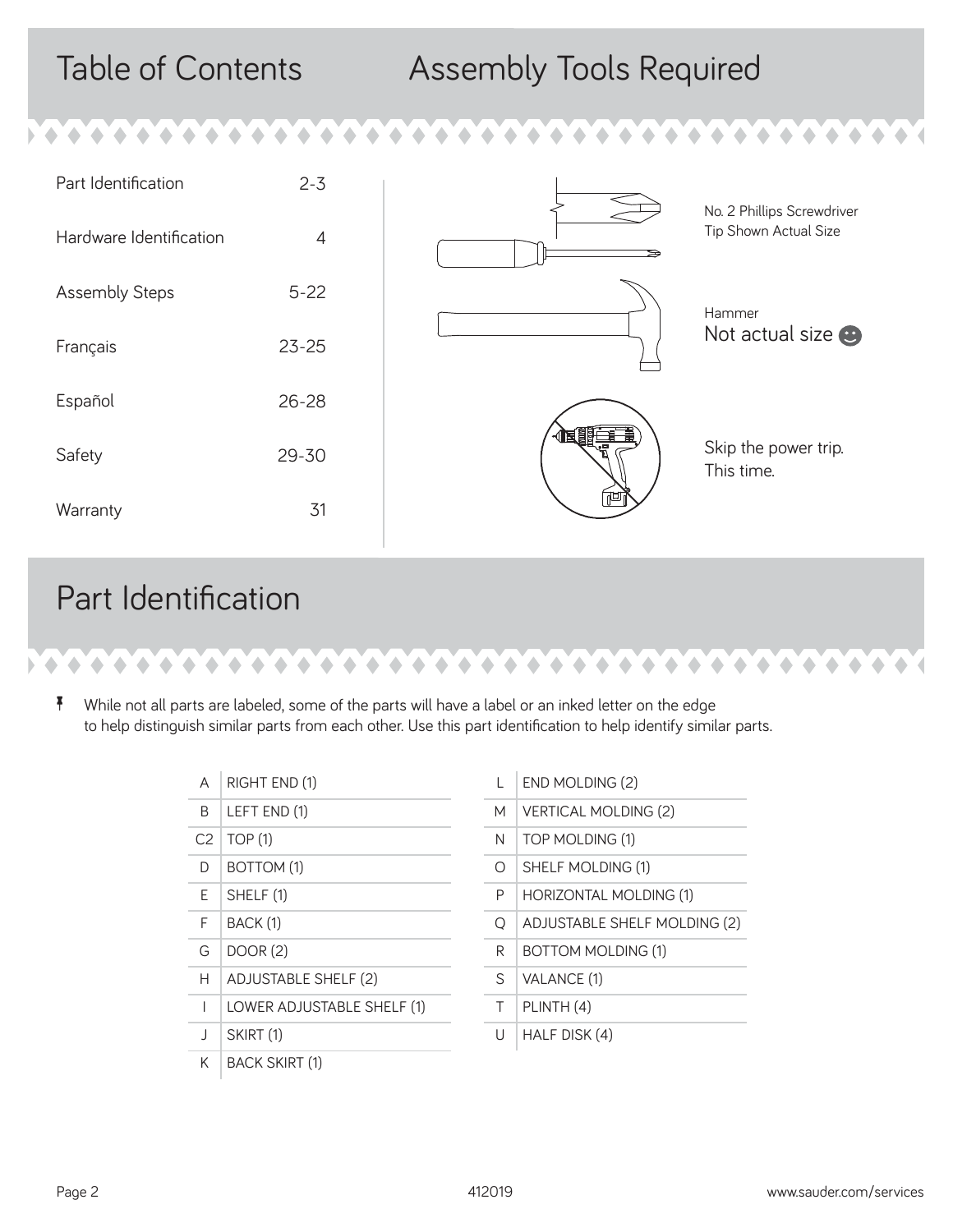## Table of Contents Assembly Tools Required

| Part Identification     | $2 - 3$   |     | No. 2 Phillips Screwdriver         |
|-------------------------|-----------|-----|------------------------------------|
| Hardware Identification | 4         |     | Tip Shown Actual Size              |
| <b>Assembly Steps</b>   | $5 - 22$  |     | Hammer                             |
| Français                | $23 - 25$ |     | Not actual size $\bullet$          |
| Español                 | $26 - 28$ |     |                                    |
| Safety                  | 29-30     | 化甲基 | Skip the power trip.<br>This time. |
| Warranty                | 31        |     |                                    |

 $\triangle$  $\overline{\phantom{a}}$ 

 $\blacklozenge$  $\blacklozenge$ 

## Part Identification



 $\blacklozenge$ 

 $\blacklozenge$ 

 $\blacklozenge$  $\triangle$  $\triangle$  $\blacktriangle$  $\triangle$  $\blacklozenge$  $\bullet$  $\bullet$  $\blacklozenge$  $\blacklozenge$  $\triangle$ 

 $\bullet$ 

 $\triangle$ 

| А              | RIGHT END (1)               |
|----------------|-----------------------------|
| B              | LEFT END (1)                |
| C <sub>2</sub> | TOP(1)                      |
| D              | BOTTOM (1)                  |
| F              | SHELF (1)                   |
| F              | BACK (1)                    |
| G              | DOOR (2)                    |
| н              | <b>ADJUSTABLE SHELF (2)</b> |
| I              | LOWER ADJUSTABLE SHELF (1)  |
| $\mathsf{l}$   | SKIRT <sub>(1)</sub>        |
| Κ              | <b>BACK SKIRT (1)</b>       |

| END MOLDING (2) |  |
|-----------------|--|

| М | <b>VERTICAL MOLDING (2)</b>         |
|---|-------------------------------------|
| N | TOP MOLDING (1)                     |
| Ω | SHELF MOLDING (1)                   |
| P | HORIZONTAL MOLDING (1)              |
| Ο | <b>ADJUSTABLE SHELF MOLDING (2)</b> |
| R | <b>BOTTOM MOLDING (1)</b>           |
| S | VALANCE (1)                         |
| Τ | PLINTH (4)                          |
| U | <b>HALF DISK (4)</b>                |
|   |                                     |

۰  $\triangle$   $\bullet \bullet \bullet \bullet \bullet \bullet$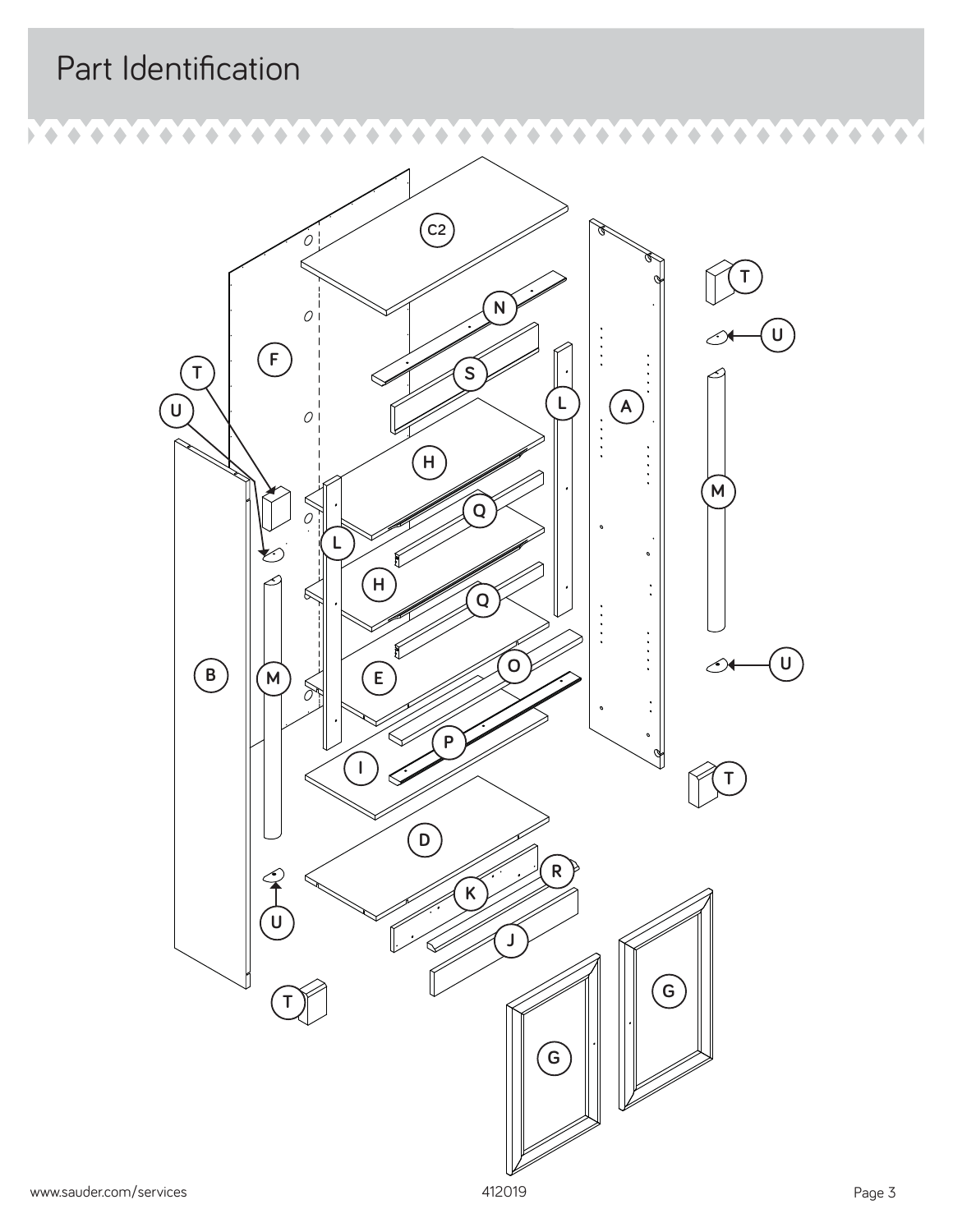## Part Identification

۵

۵

 $\bullet$  $\hat{\phantom{a}}$ 

Þ



۵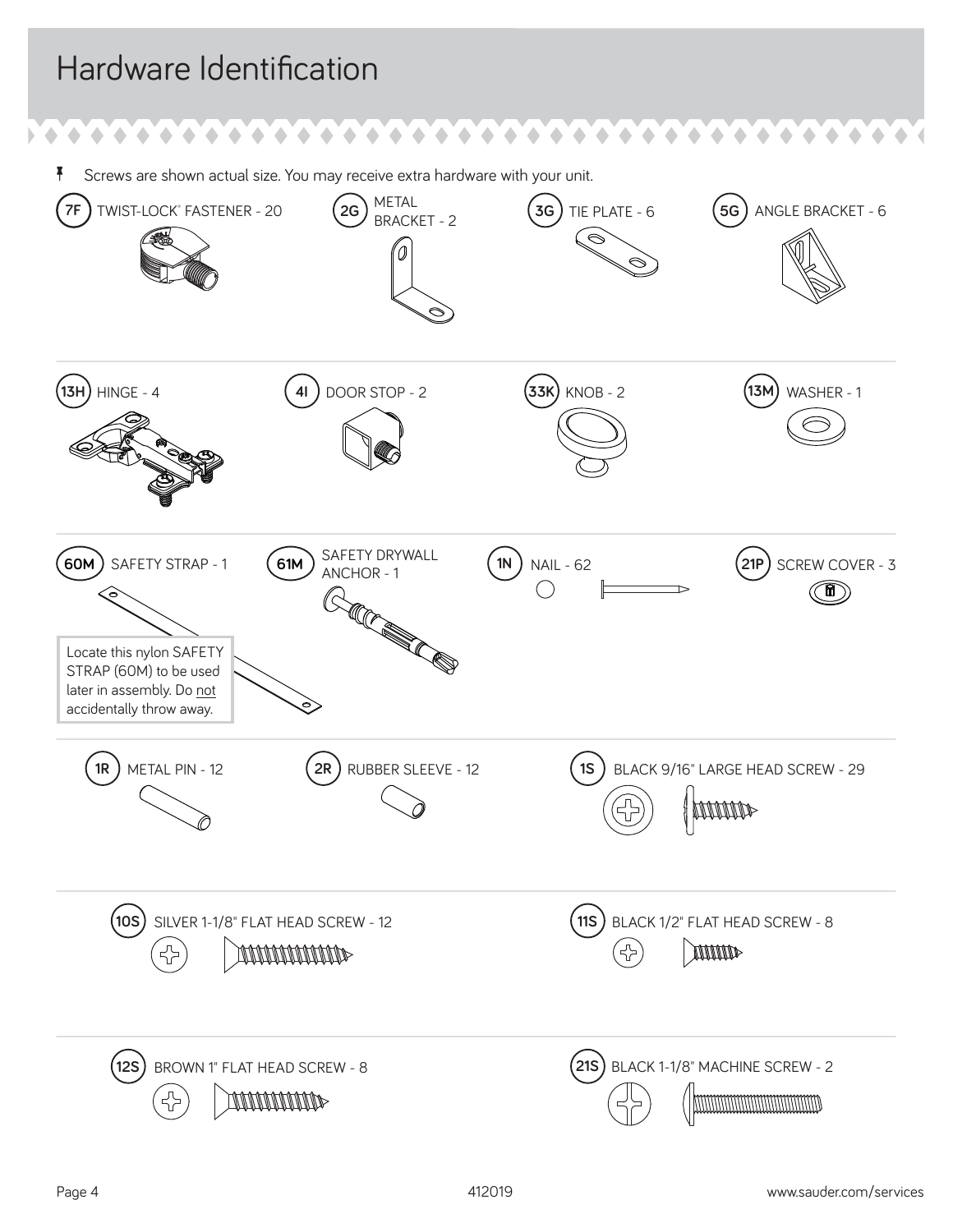## Hardware Identification

<sup>7</sup> Screws are shown actual size. You may receive extra hardware with your unit.

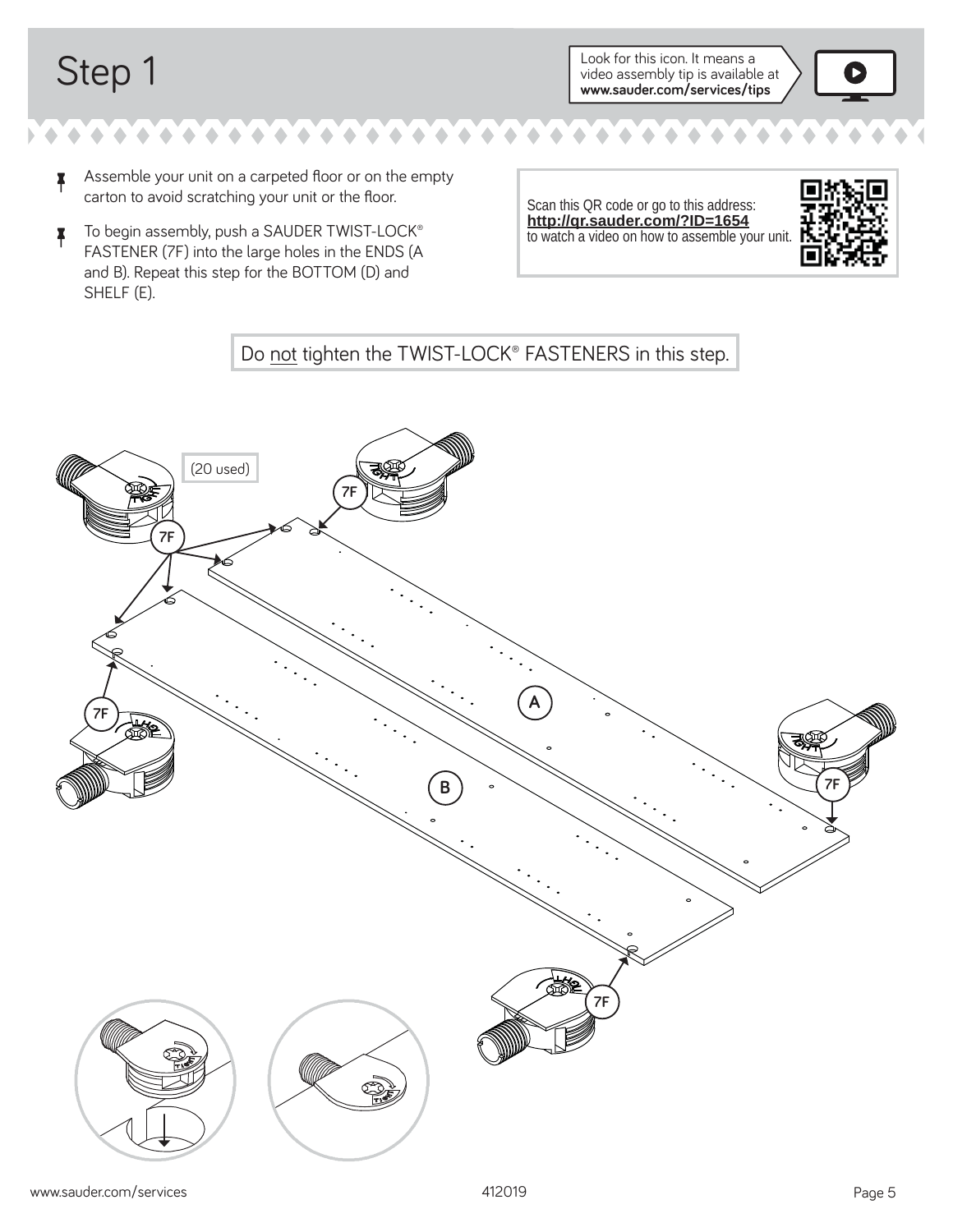Step 1 Look for this icon. It means a video assembly tip is available at **www.sauder.com/services/tips**



- **4** Assemble your unit on a carpeted floor or on the empty carton to avoid scratching your unit or the floor.
- **T** To begin assembly, push a SAUDER TWIST-LOCK® FASTENER (7F) into the large holes in the ENDS (A and B). Repeat this step for the BOTTOM (D) and SHELF (E).

Scan this QR code or go to this address: **http://qr.sauder.com/?ID=1654**  to watch a video on how to assemble your unit.



### Do not tighten the TWIST-LOCK® FASTENERS in this step.

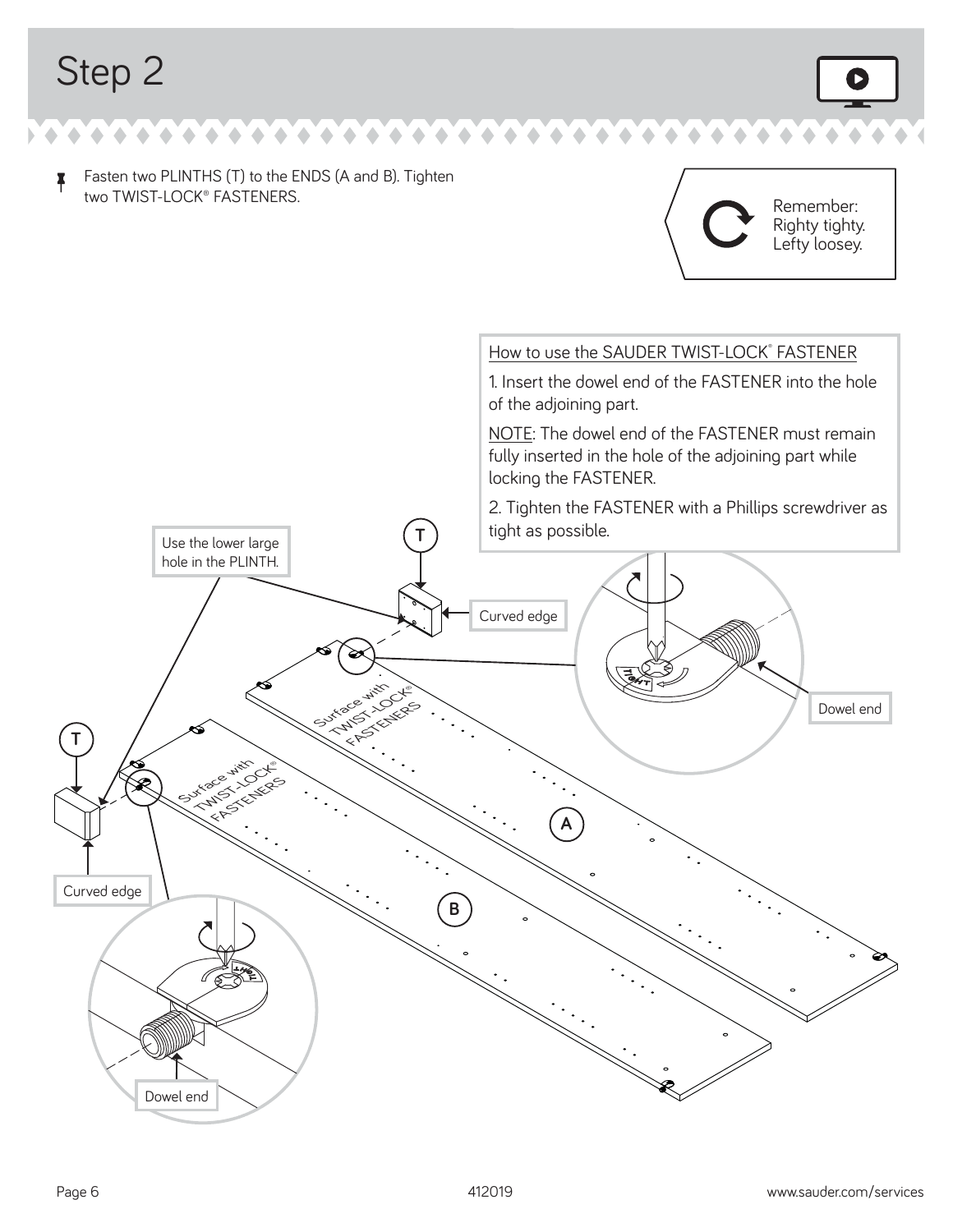$\uparrow$  Fasten two PLINTHS (T) to the ENDS (A and B). Tighten two TWIST-LOCK® FASTENERS.



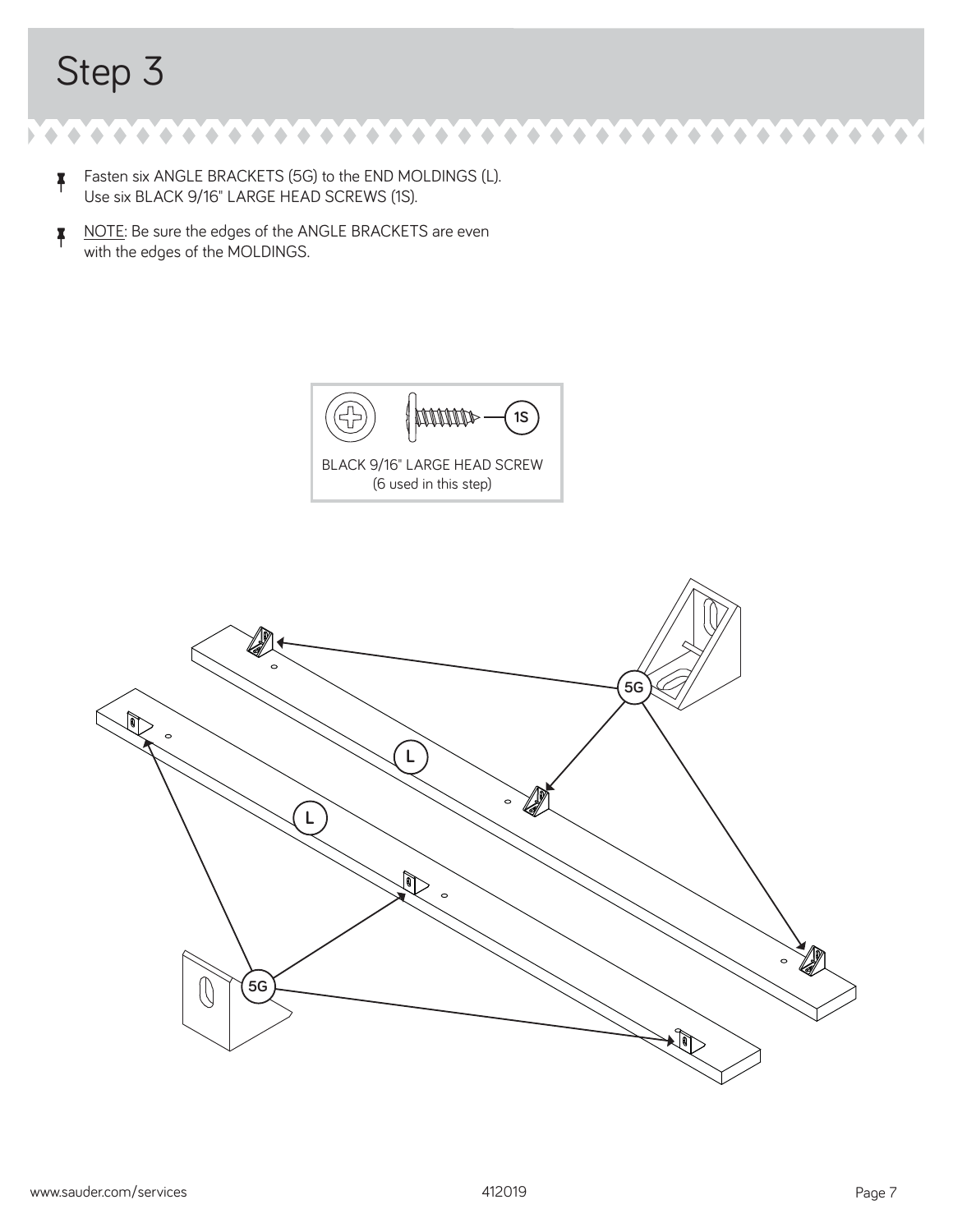$\blacklozenge$  $\begin{array}{ccc}\n\bullet & \bullet & \bullet & \bullet \\
\end{array}$  $\triangle$ ۰ ۰

- $\uparrow$  Fasten six ANGLE BRACKETS (5G) to the END MOLDINGS (L). Use six BLACK 9/16" LARGE HEAD SCREWS (1S).
- NOTE: Be sure the edges of the ANGLE BRACKETS are even with the edges of the MOLDINGS.



BLACK 9/16" LARGE HEAD SCREW (6 used in this step)



۰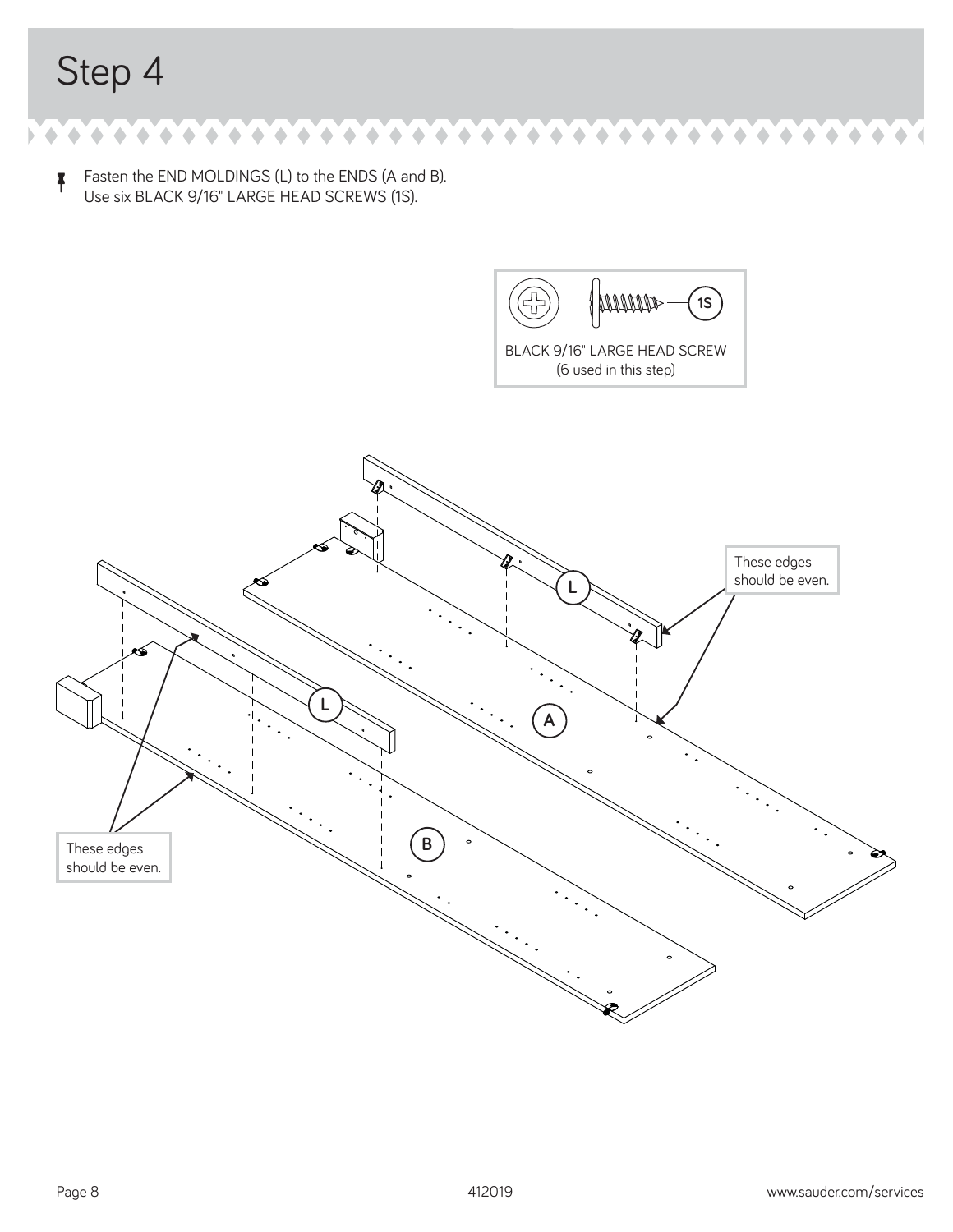$\uparrow$  Fasten the END MOLDINGS (L) to the ENDS (A and B). Use six BLACK 9/16" LARGE HEAD SCREWS (1S).

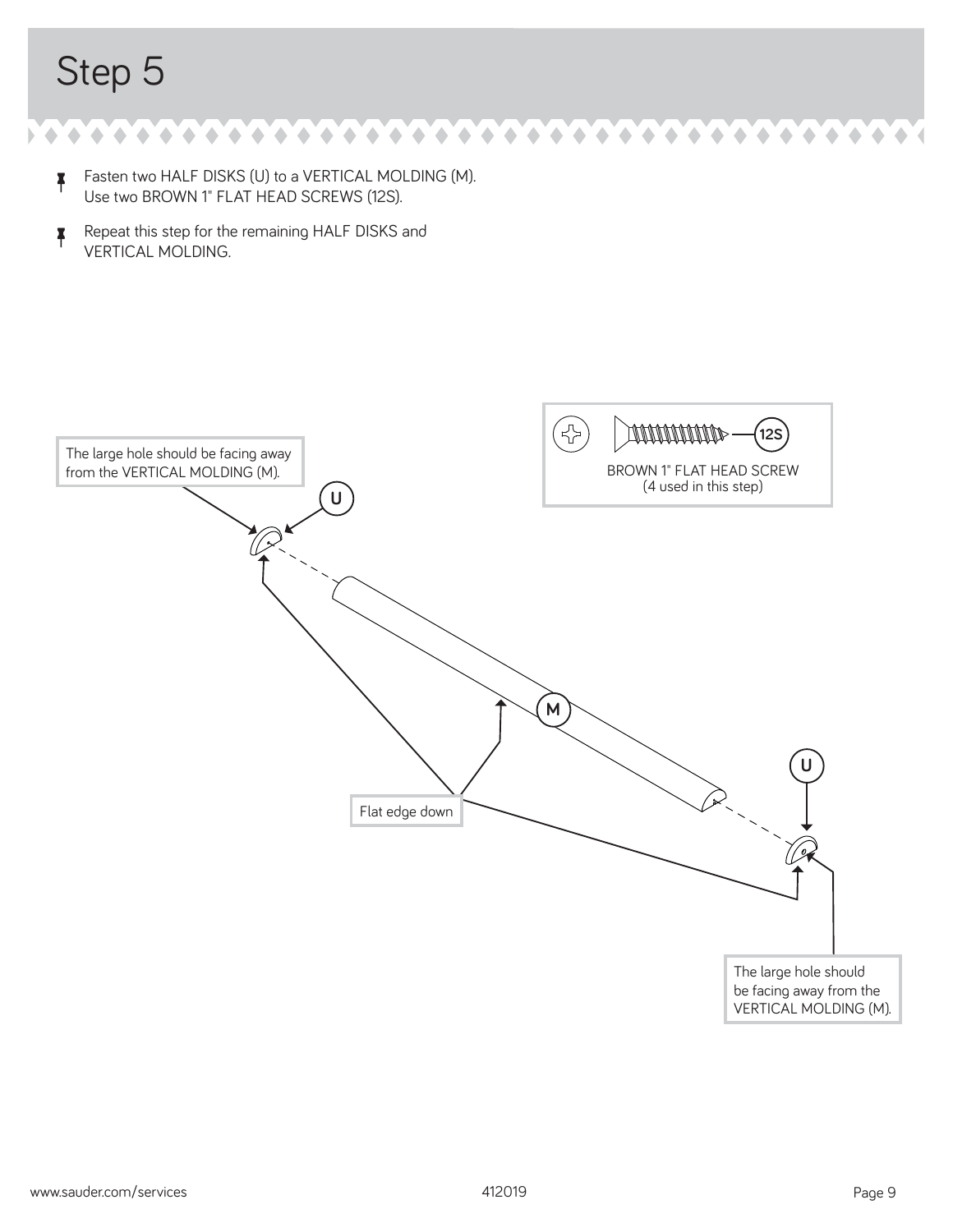- **F** Fasten two HALF DISKS (U) to a VERTICAL MOLDING (M). Use two BROWN 1" FLAT HEAD SCREWS (12S).
- **A** Repeat this step for the remaining HALF DISKS and VERTICAL MOLDING.

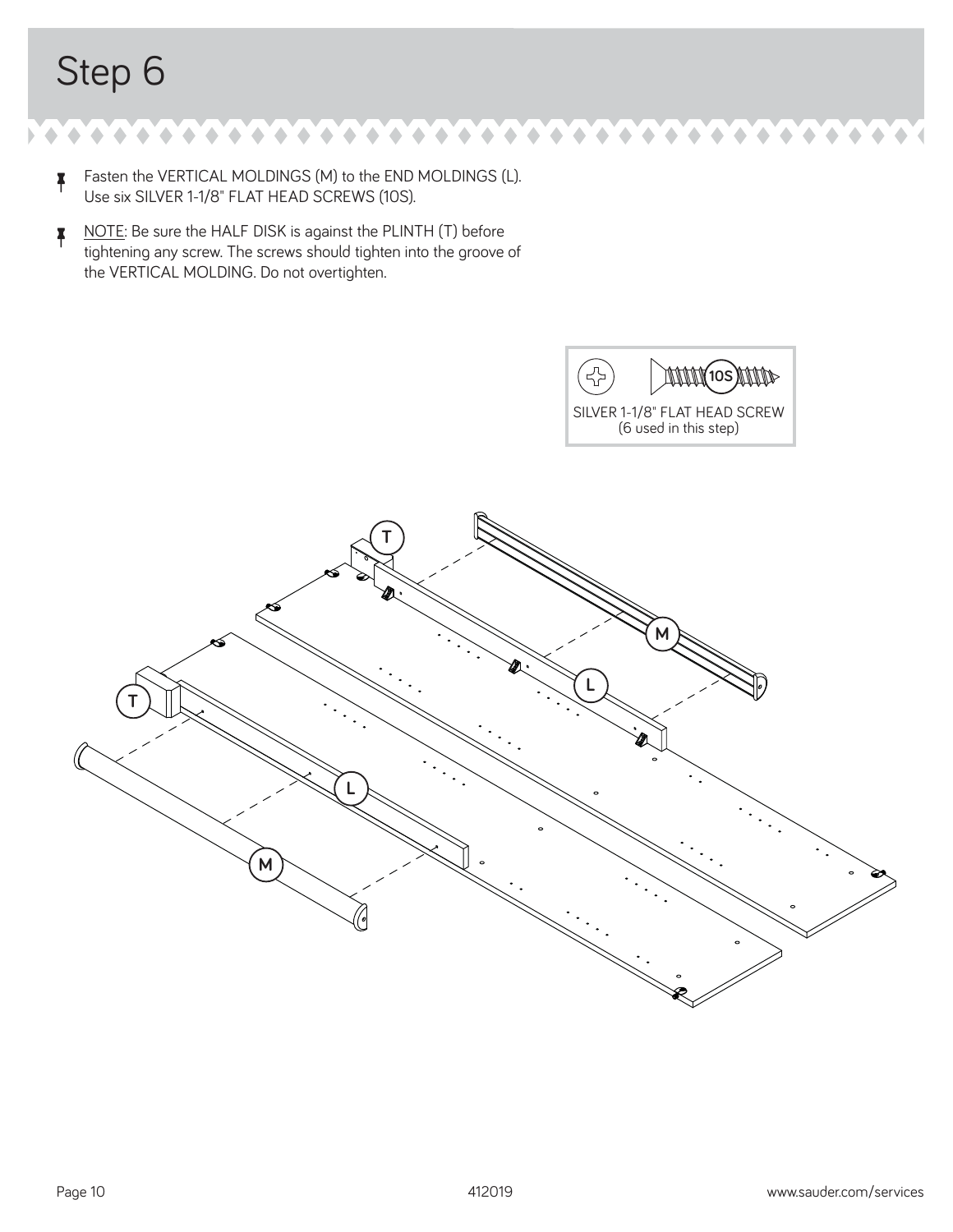$\triangle$ ٥

- $\uparrow$  Fasten the VERTICAL MOLDINGS (M) to the END MOLDINGS (L). Use six SILVER 1-1/8" FLAT HEAD SCREWS (10S).
- **A** NOTE: Be sure the HALF DISK is against the PLINTH (T) before tightening any screw. The screws should tighten into the groove of the VERTICAL MOLDING. Do not overtighten.

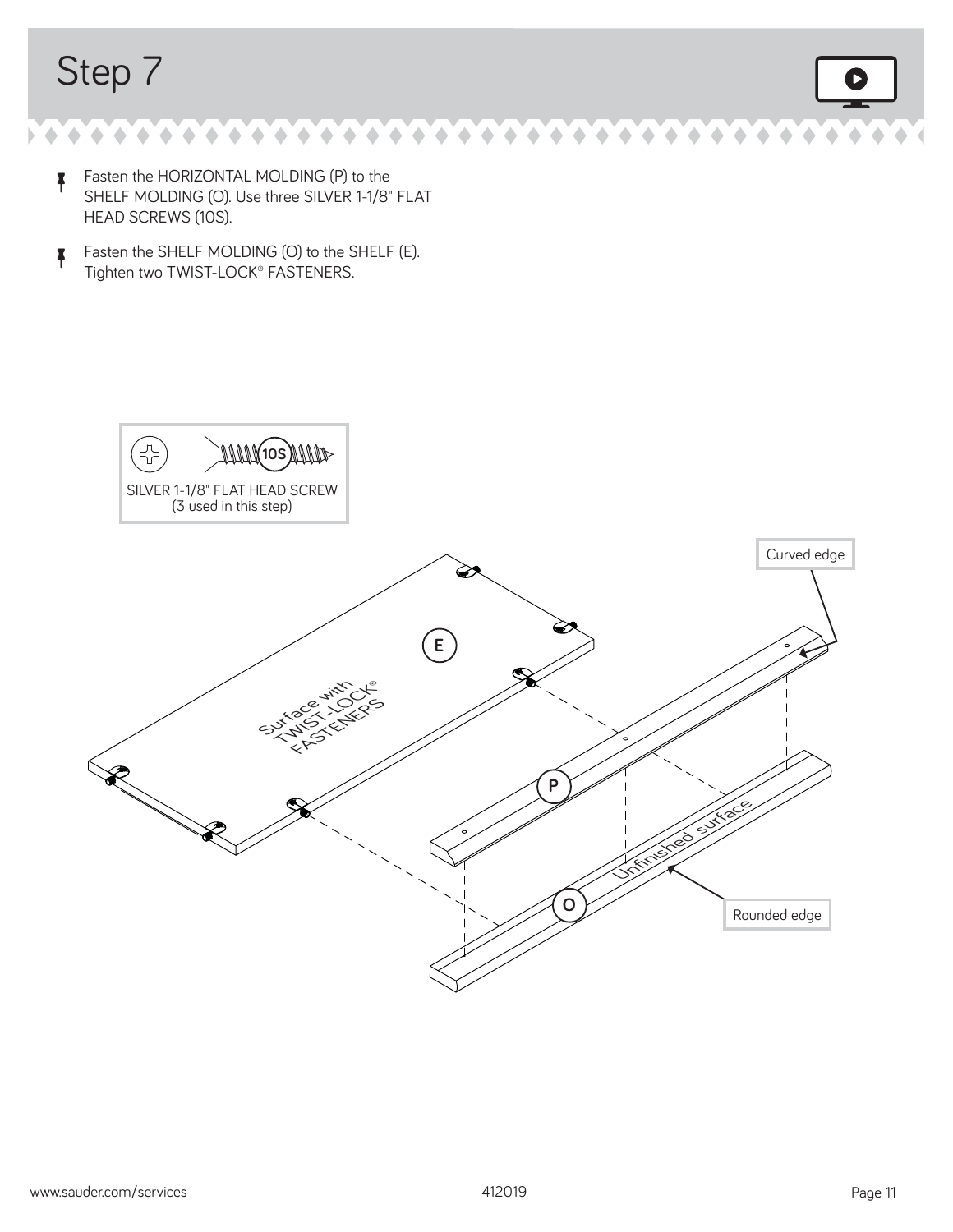۰ ۵ ۵  $\triangle$ ۵

- $\uparrow$  Fasten the HORIZONTAL MOLDING (P) to the SHELF MOLDING (O). Use three SILVER 1-1/8" FLAT HEAD SCREWS (10S).
- Fasten the SHELF MOLDING (O) to the SHELF (E). Tighten two TWIST-LOCK® FASTENERS.

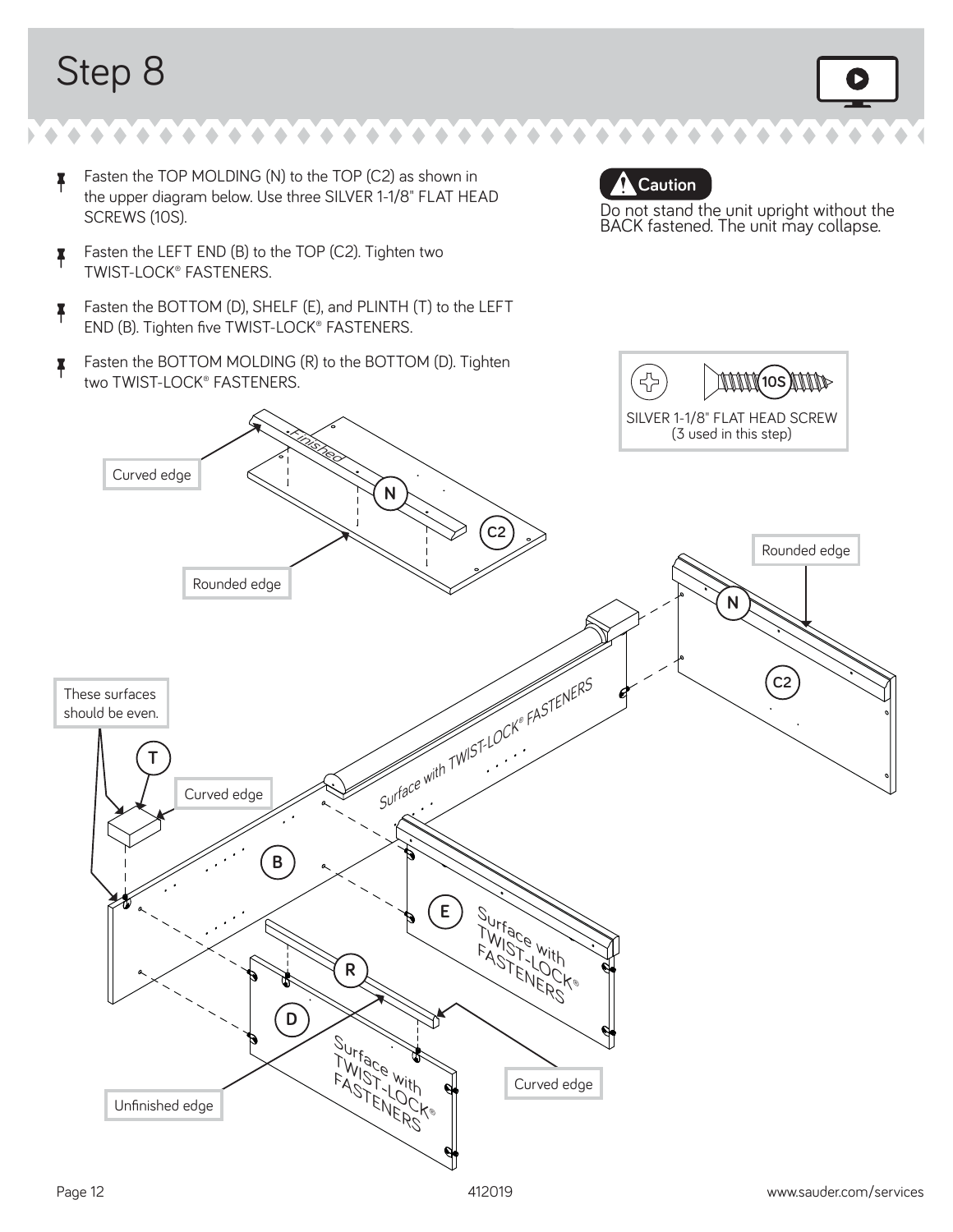- $\uparrow$  Fasten the TOP MOLDING (N) to the TOP (C2) as shown in the upper diagram below. Use three SILVER 1-1/8" FLAT HEAD SCREWS (10S).
- **F** Fasten the LEFT END (B) to the TOP (C2). Tighten two TWIST-LOCK® FASTENERS.
- <sup>å</sup> Fasten the BOTTOM (D), SHELF (E), and PLINTH (T) to the LEFT END (B). Tighten five TWIST-LOCK® FASTENERS.
- <sup>å</sup> Fasten the BOTTOM MOLDING (R) to the BOTTOM (D). Tighten two TWIST-LOCK® FASTENERS.

 **Caution**

Do not stand the unit upright without the BACK fastened. The unit may collapse.

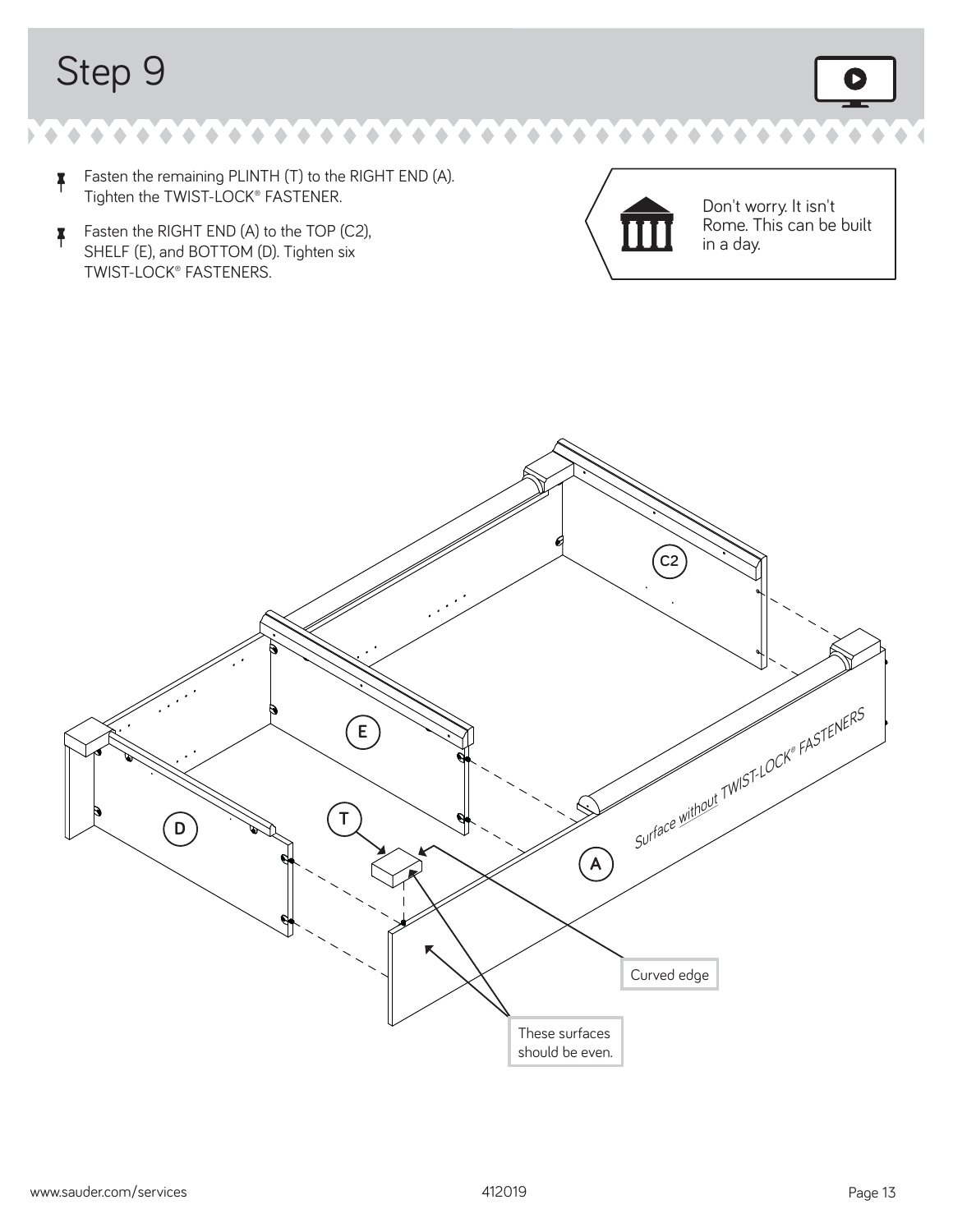- $\uparrow$  Fasten the remaining PLINTH (T) to the RIGHT END (A). Tighten the TWIST-LOCK® FASTENER.
- **F**asten the RIGHT END (A) to the TOP (C2), SHELF (E), and BOTTOM (D). Tighten six TWIST-LOCK® FASTENERS.



Don't worry. It isn't Rome. This can be built in a day.

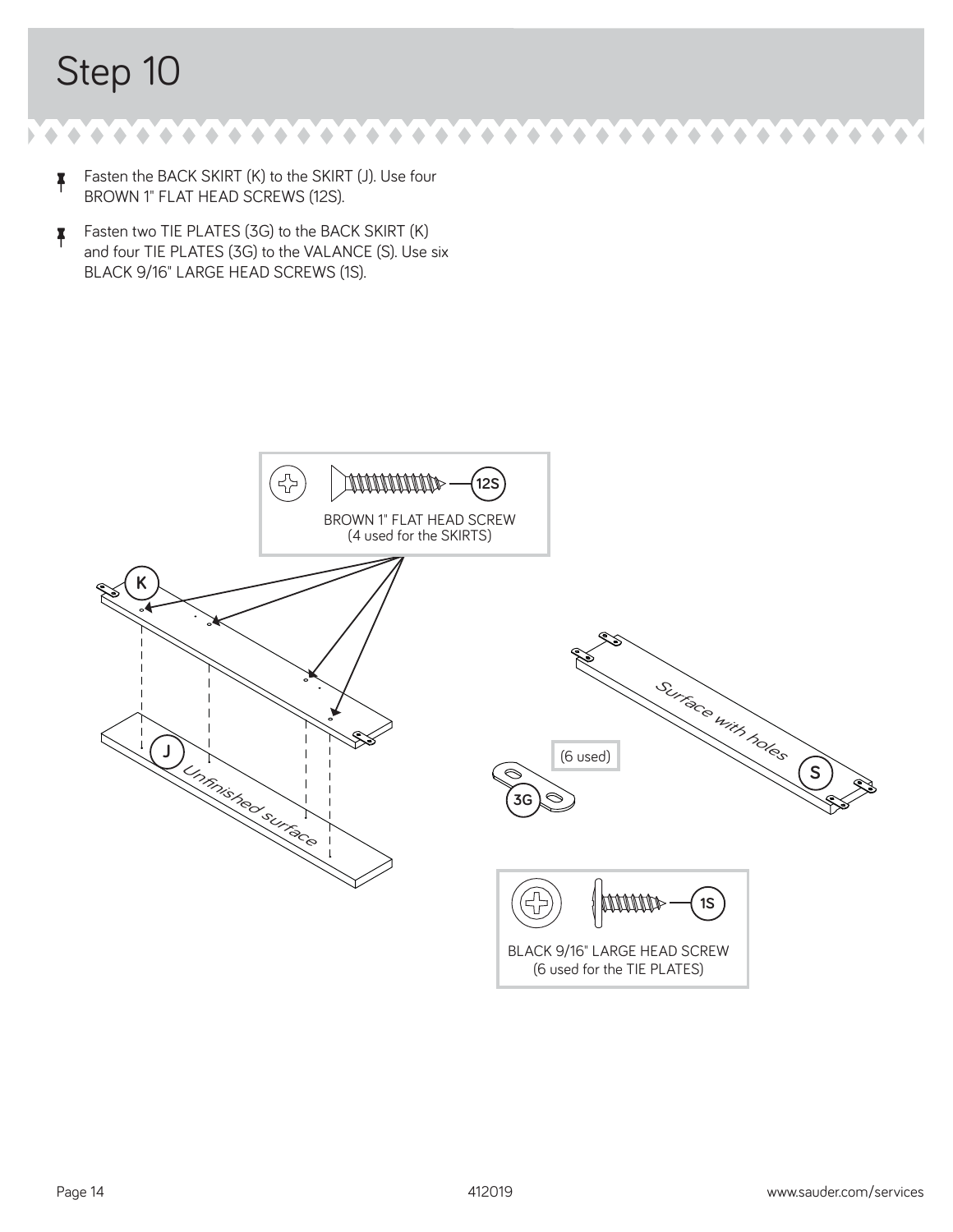$\bullet$  $\blacklozenge$ ۰  $\bullet$  $\bullet$  $\bullet$ ۰

- $\uparrow$  Fasten the BACK SKIRT (K) to the SKIRT (J). Use four BROWN 1" FLAT HEAD SCREWS (12S).
- **F** Fasten two TIE PLATES (3G) to the BACK SKIRT  $(K)$ and four TIE PLATES (3G) to the VALANCE (S). Use six BLACK 9/16" LARGE HEAD SCREWS (1S).

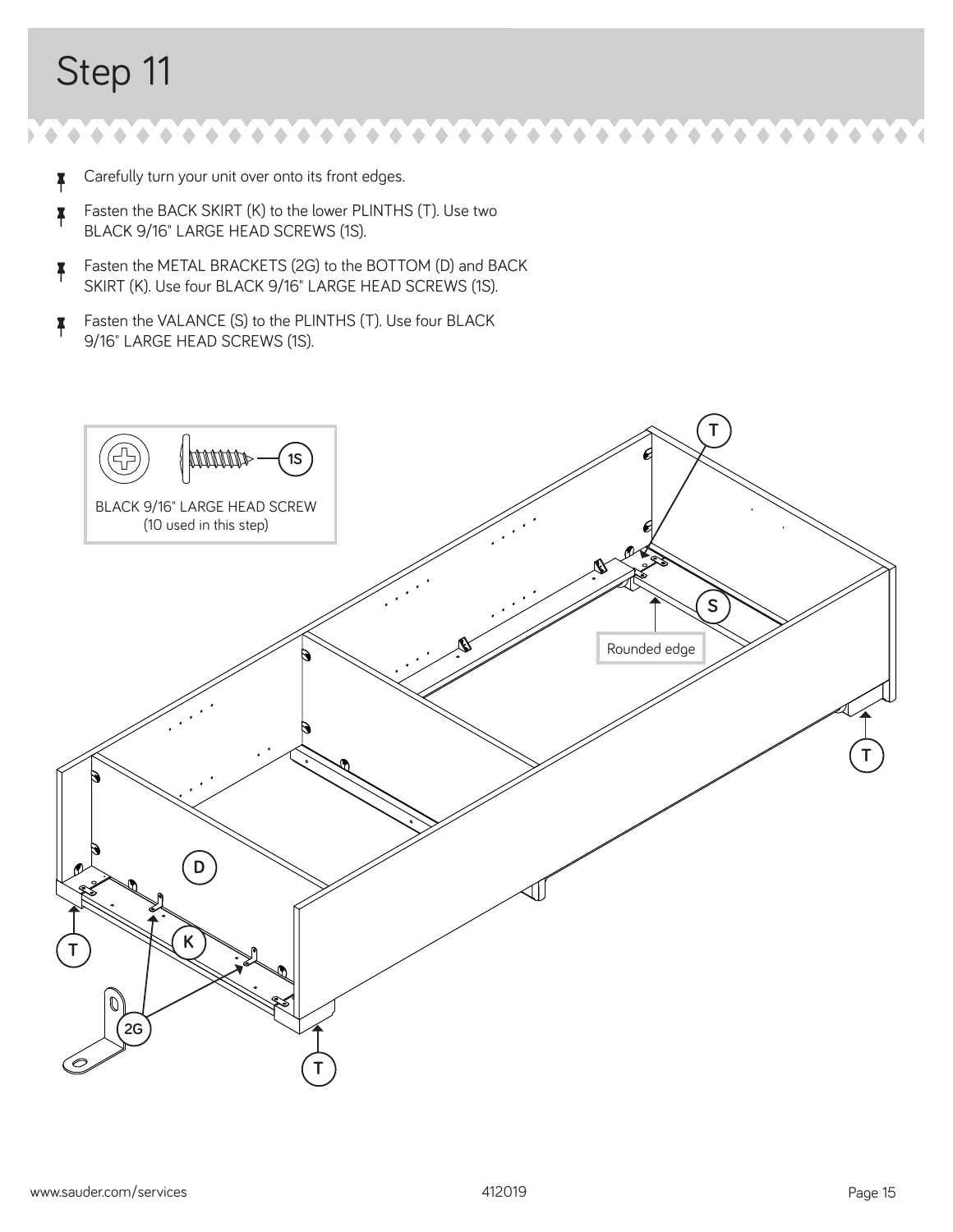- $\uparrow$  Carefully turn your unit over onto its front edges.
- **F** Fasten the BACK SKIRT (K) to the lower PLINTHS (T). Use two BLACK 9/16" LARGE HEAD SCREWS (1S).
- Fasten the METAL BRACKETS (2G) to the BOTTOM (D) and BACK SKIRT (K). Use four BLACK 9/16" LARGE HEAD SCREWS (1S).
- <sup>å</sup> Fasten the VALANCE (S) to the PLINTHS (T). Use four BLACK 9/16" LARGE HEAD SCREWS (1S).

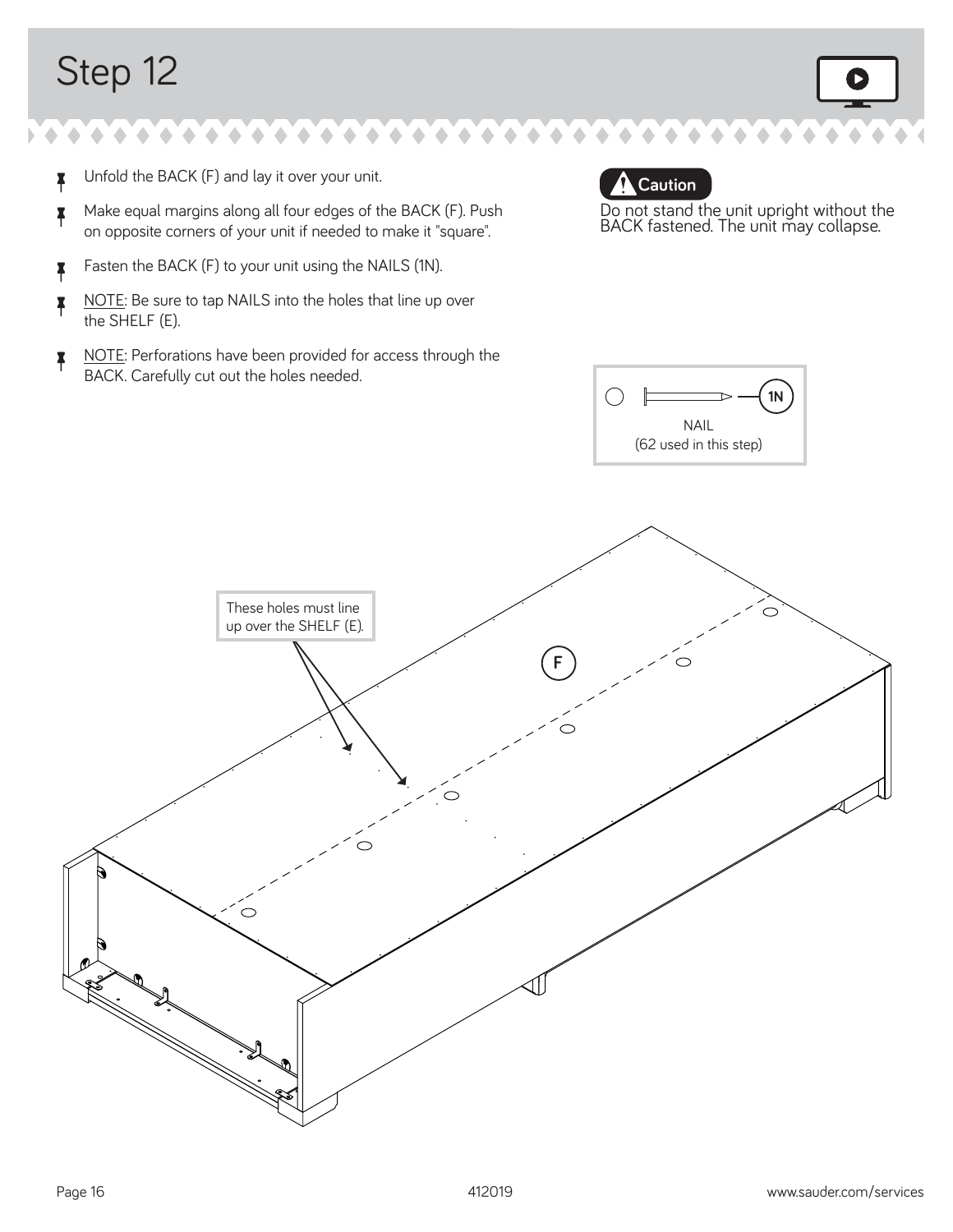- $\uparrow$  Unfold the BACK (F) and lay it over your unit.
- <sup>å</sup> Make equal margins along all four edges of the BACK (F). Push on opposite corners of your unit if needed to make it "square".
- **F** Fasten the BACK (F) to your unit using the NAILS (1N).
- NOTE: Be sure to tap NAILS into the holes that line up over the SHELF (E).
- NOTE: Perforations have been provided for access through the BACK. Carefully cut out the holes needed.



Do not stand the unit upright without the BACK fastened. The unit may collapse.



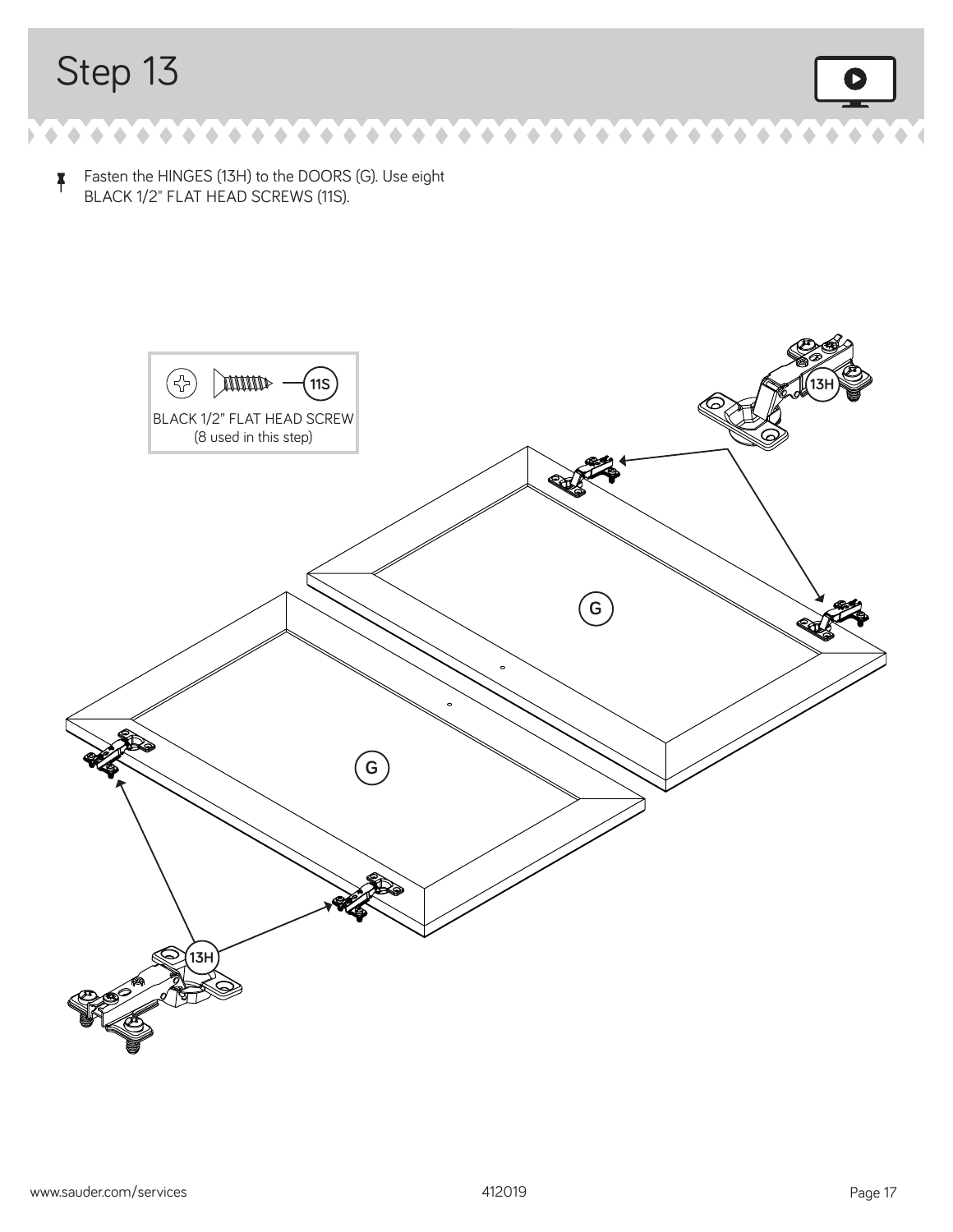$\bullet$   $\bullet$   $\bullet$  $\hat{\phantom{a}}$  $\bullet$  $\blacklozenge$  $\begin{array}{c} \bullet \\ \bullet \end{array}$  $\blacklozenge$ ۰ ۰

<sup>å</sup> Fasten the HINGES (13H) to the DOORS (G). Use eight BLACK 1/2" FLAT HEAD SCREWS (11S).

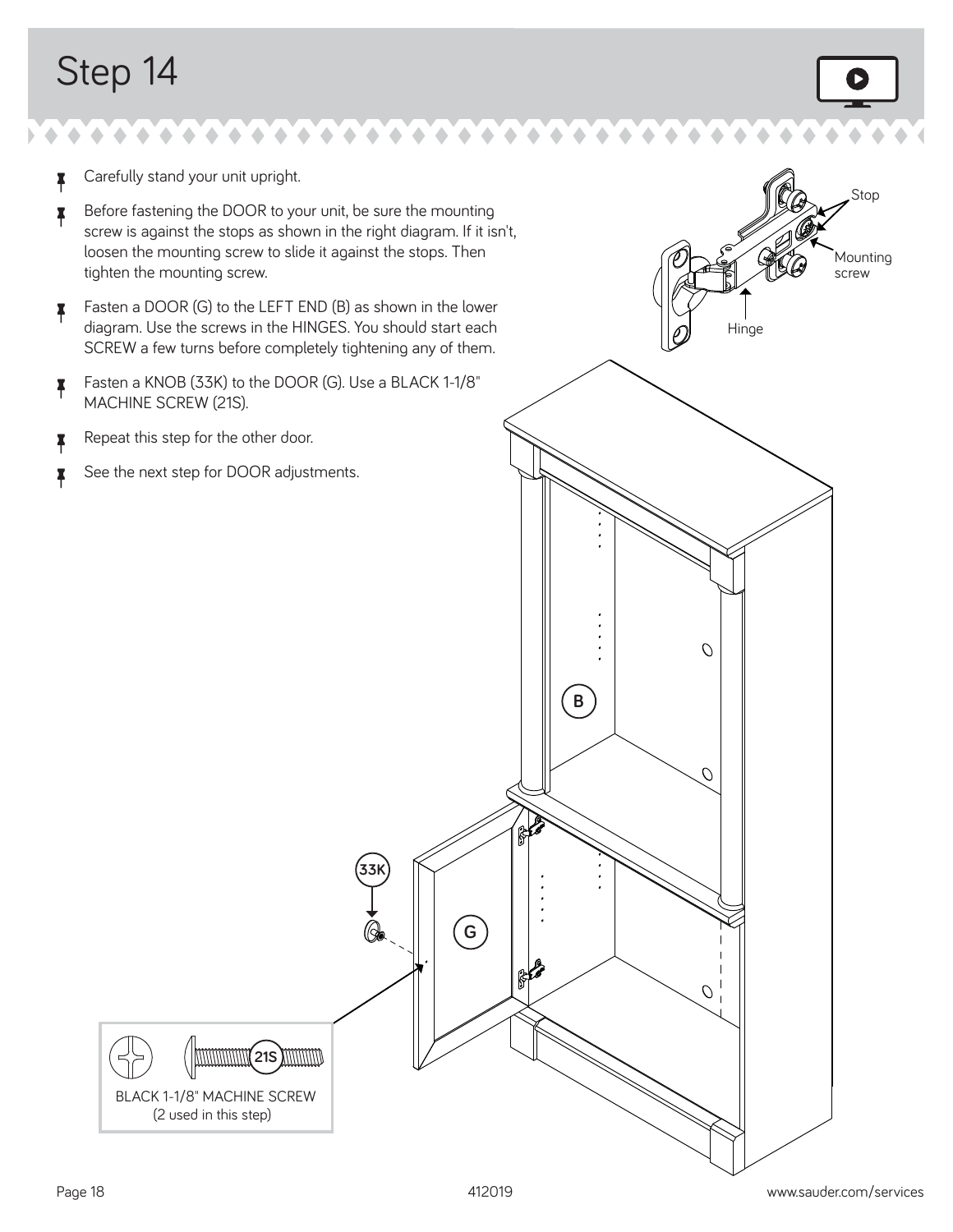- **z** Carefully stand your unit upright.
- Before fastening the DOOR to your unit, be sure the mounting screw is against the stops as shown in the right diagram. If it isn't, loosen the mounting screw to slide it against the stops. Then tighten the mounting screw.
- <sup>å</sup> Fasten a DOOR (G) to the LEFT END (B) as shown in the lower diagram. Use the screws in the HINGES. You should start each SCREW a few turns before completely tightening any of them.
- <sup>å</sup> Fasten a KNOB (33K) to the DOOR (G). Use a BLACK 1-1/8" MACHINE SCREW (21S).
- **A** Repeat this step for the other door.
- $\uparrow$  See the next step for DOOR adjustments.

Mounting screw **Hinge**  $\mathcal{O}$ **B** O  $\mathbb{R}^2$ **33K G**  $\mathbb{R}^2$  ${\cal O}$ **MMMMMM(21S) MMMM** BLACK 1-1/8" MACHINE SCREW (2 used in this step)

Stop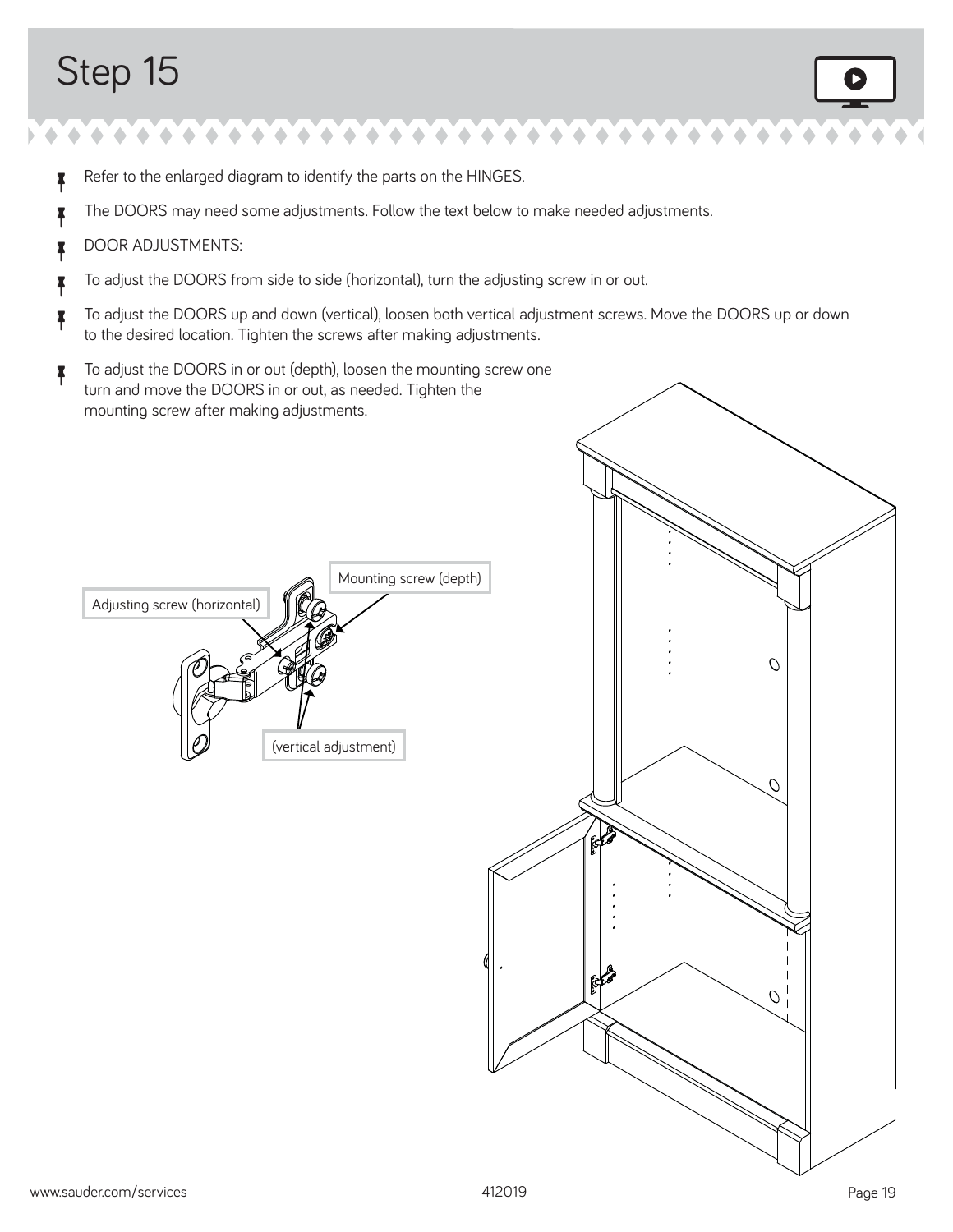- **\*** Refer to the enlarged diagram to identify the parts on the HINGES.
- The DOORS may need some adjustments. Follow the text below to make needed adjustments.
- **B** DOOR ADJUSTMENTS:

Adjusting screw (horizontal)

- <sup>å</sup> To adjust the DOORS from side to side (horizontal), turn the adjusting screw in or out.
- $\uparrow$  To adjust the DOORS up and down (vertical), loosen both vertical adjustment screws. Move the DOORS up or down to the desired location. Tighten the screws after making adjustments.
- To adjust the DOORS in or out (depth), loosen the mounting screw one turn and move the DOORS in or out, as needed. Tighten the mounting screw after making adjustments.

(vertical adjustment)

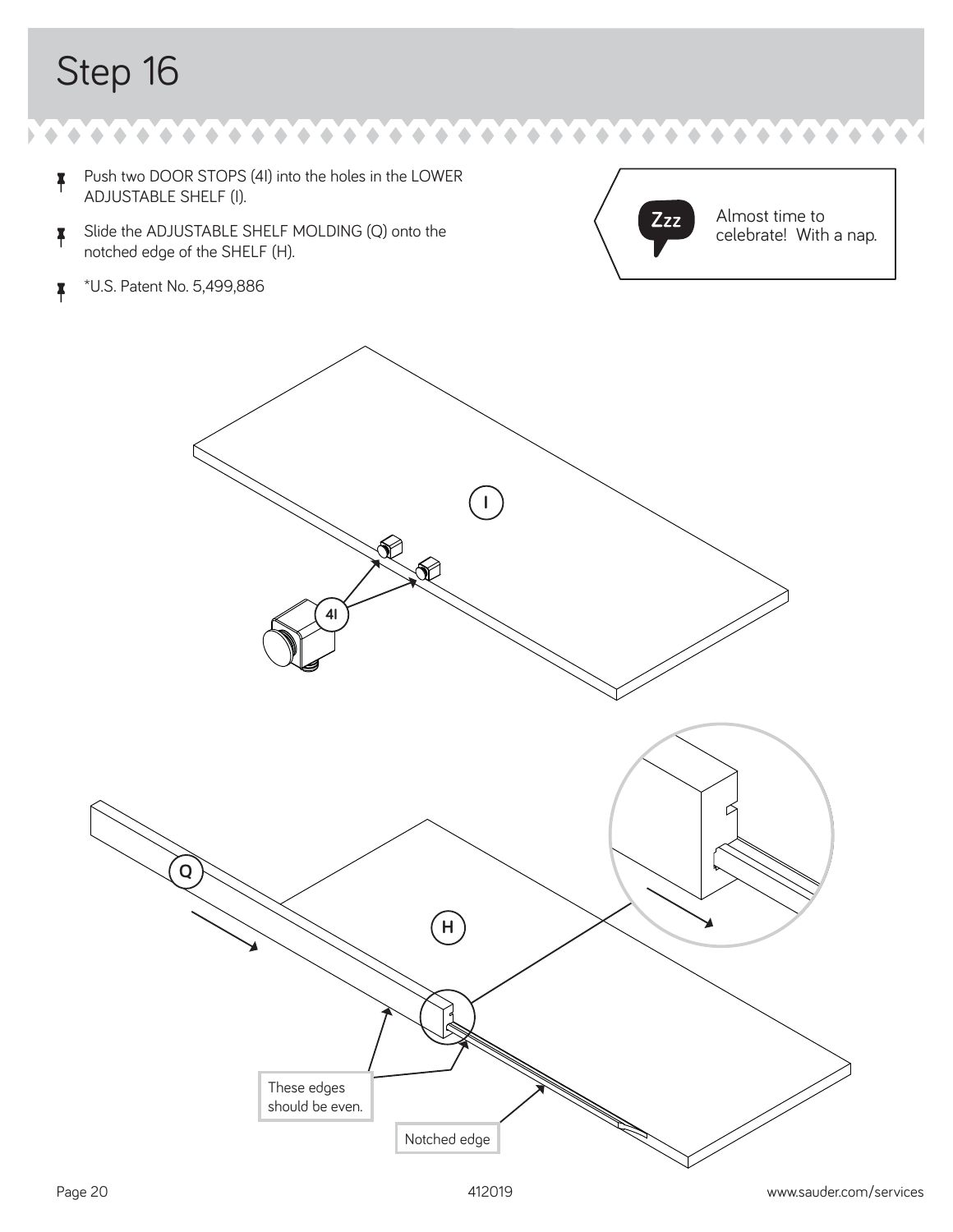$\blacklozenge$  $\bullet\bullet\bullet\bullet$  $\blacklozenge$  $\bullet$  $\triangle$ 

- <sup>å</sup> Push two DOOR STOPS (4I) into the holes in the LOWER ADJUSTABLE SHELF (I).
- **A** Slide the ADJUSTABLE SHELF MOLDING (Q) onto the notched edge of the SHELF (H).
- <sup>å</sup> \*U.S. Patent No. 5,499,886



Almost time to celebrate! With a nap.

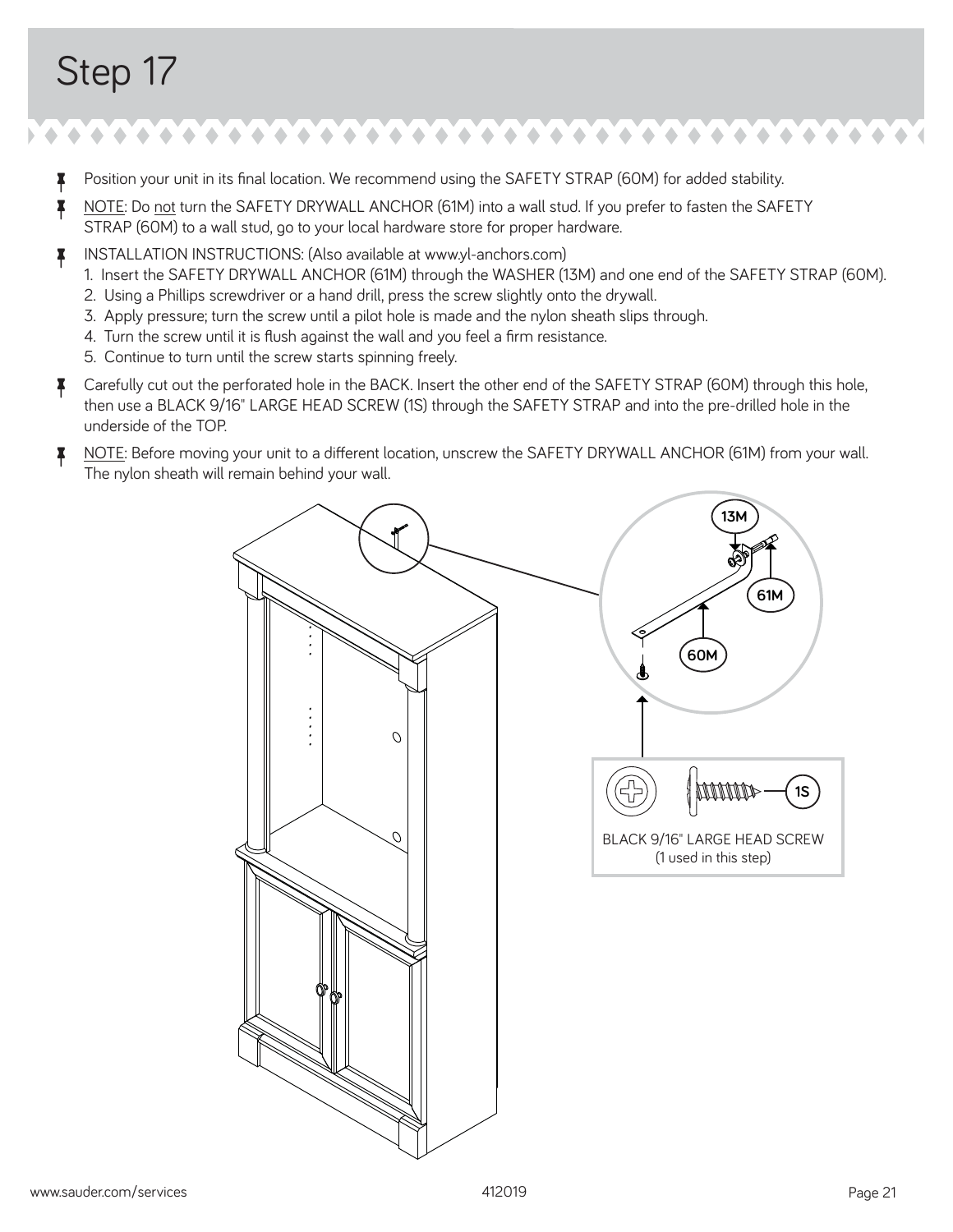- <sup>7</sup> Position your unit in its final location. We recommend using the SAFETY STRAP (60M) for added stability.
- <sup>7</sup> NOTE: Do not turn the SAFETY DRYWALL ANCHOR (61M) into a wall stud. If you prefer to fasten the SAFETY STRAP (60M) to a wall stud, go to your local hardware store for proper hardware.
- å INSTALLATION INSTRUCTIONS: (Also available at www.yl-anchors.com)
	- 1. Insert the SAFETY DRYWALL ANCHOR (61M) through the WASHER (13M) and one end of the SAFETY STRAP (60M).
	- 2. Using a Phillips screwdriver or a hand drill, press the screw slightly onto the drywall.
	- 3. Apply pressure; turn the screw until a pilot hole is made and the nylon sheath slips through.
	- 4. Turn the screw until it is flush against the wall and you feel a firm resistance.
	- 5. Continue to turn until the screw starts spinning freely.
- **7** Carefully cut out the perforated hole in the BACK. Insert the other end of the SAFETY STRAP (60M) through this hole, then use a BLACK 9/16" LARGE HEAD SCREW (1S) through the SAFETY STRAP and into the pre-drilled hole in the underside of the TOP.
- **A** NOTE: Before moving your unit to a different location, unscrew the SAFETY DRYWALL ANCHOR (61M) from your wall. The nylon sheath will remain behind your wall.

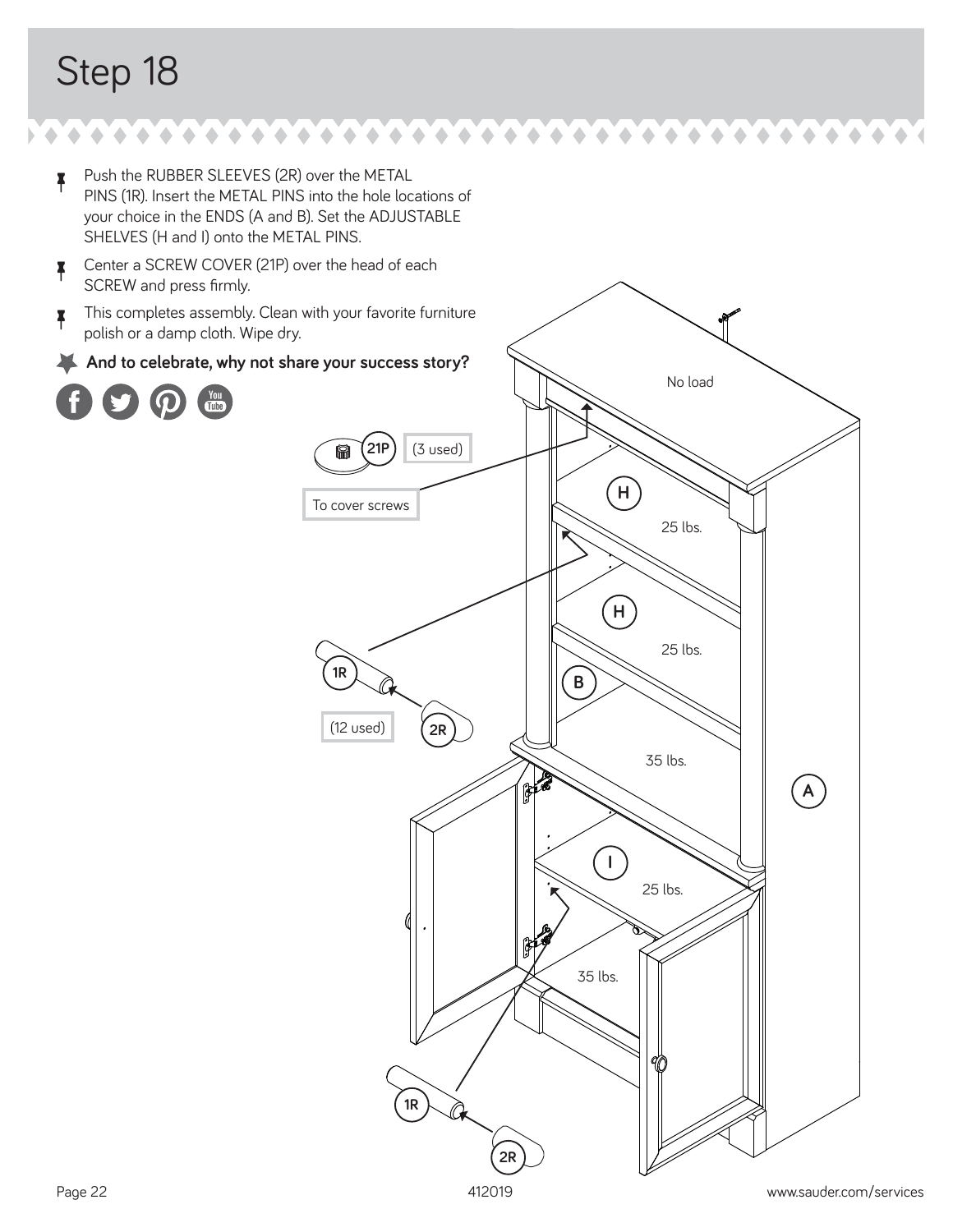۰ ۰  $\triangle$ ۰

- <sup>å</sup> Push the RUBBER SLEEVES (2R) over the METAL PINS (1R). Insert the METAL PINS into the hole locations of your choice in the ENDS (A and B). Set the ADJUSTABLE SHELVES (H and I) onto the METAL PINS.
- **4** Center a SCREW COVER (21P) over the head of each SCREW and press firmly.
- $\uparrow$  This completes assembly. Clean with your favorite furniture polish or a damp cloth. Wipe dry.
- And to celebrate, why not share your success story?



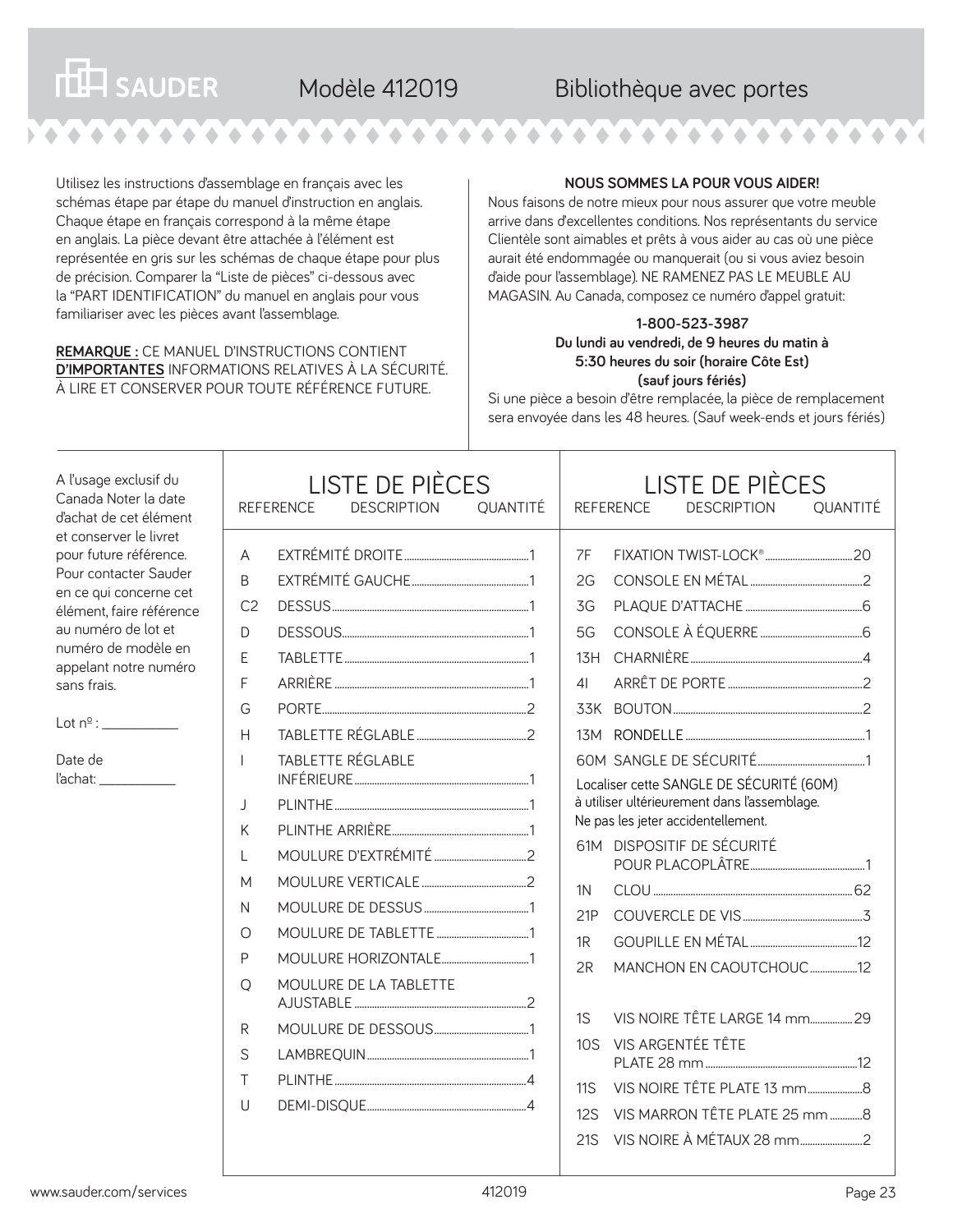### Modèle 412019 Bibliothèque avec portes

Utilisez les instructions d'assemblage en français avec les schémas étape par étape du manuel d'instruction en anglais. Chaque étape en français correspond à la même étape en anglais. La pièce devant être attachée à l'élément est représentée en gris sur les schémas de chaque étape pour plus de précision. Comparer la "Liste de pièces" ci-dessous avec la "PART IDENTIFICATION" du manuel en anglais pour vous familiariser avec les pièces avant l'assemblage.

#### **REMARQUE :** CE MANUEL D'INSTRUCTIONS CONTIENT **D'IMPORTANTES** INFORMATIONS RELATIVES À LA SÉCURITÉ. À LIRE ET CONSERVER POUR TOUTE RÉFÉRENCE FUTURE.

#### **NOUS SOMMES LA POUR VOUS AIDER!**

Nous faisons de notre mieux pour nous assurer que votre meuble arrive dans d'excellentes conditions. Nos représentants du service Clientèle sont aimables et prêts à vous aider au cas où une pièce aurait été endommagée ou manquerait (ou si vous aviez besoin d'aide pour l'assemblage). NE RAMENEZ PAS LE MEUBLE AU MAGASIN. Au Canada, composez ce numéro d'appel gratuit:

#### **1-800-523-3987 Du lundi au vendredi, de 9 heures du matin à 5:30 heures du soir (horaire Côte Est) (sauf jours fériés)**

Si une pièce a besoin d'être remplacée, la pièce de remplacement sera envoyée dans les 48 heures. (Sauf week-ends et jours fériés)

A l'usage exclusif du Canada Noter la date d'achat de cet élément et conserver le livret pour future référence. Pour contacter Sauder en ce qui concerne cet élément, faire référence au numéro de lot et numéro de modèle en appelant notre numéro sans frais.

**THE SAUDER** 

Lot nº : \_\_\_\_\_\_\_\_\_\_\_\_

Date de l'achat: \_\_\_\_\_\_\_\_\_\_\_\_

| <b>LISTE DE PIÈCES</b><br><b>DESCRIPTION</b><br><b>QUANTITÉ</b><br><b>REFERENCE</b>                                           |  |                                                    | <b>LISTE DE PIÈCES</b><br><b>DESCRIPTION</b><br><b>OUANTITÉ</b><br>REFERENCE |                                                                                                                                   |  |                                                                                                                                                                                                                                                                                |  |
|-------------------------------------------------------------------------------------------------------------------------------|--|----------------------------------------------------|------------------------------------------------------------------------------|-----------------------------------------------------------------------------------------------------------------------------------|--|--------------------------------------------------------------------------------------------------------------------------------------------------------------------------------------------------------------------------------------------------------------------------------|--|
| A<br>B<br>C <sub>2</sub><br>D<br>F<br>F<br>G<br>Н<br>J<br>K<br>$\mathbf{L}$<br>М<br>N<br>O<br>P<br>O<br>R<br>S<br>Τ<br>$\cup$ |  | <b>TABLETTE RÉGLABLE</b><br>MOULURE DE LA TABLETTE |                                                                              | 7F<br>2G<br>3G<br>5G<br>$1\overline{3}H$<br>41<br>1 <sup>N</sup><br>21P<br>1R<br>2R<br>1S<br>10 <sub>S</sub><br>11S<br>12S<br>21S |  | Localiser cette SANGLE DE SÉCURITÉ (60M)<br>à utiliser ultérieurement dans l'assemblage.<br>Ne pas les jeter accidentellement.<br>61M DISPOSITIF DE SÉCURITÉ<br>MANCHON EN CAOUTCHOUC12<br>VIS NOIRE TÊTE LARGE 14 mm 29<br>VIS ARGENTÉE TÊTE<br>VIS MARRON TÊTE PLATE 25 mm 8 |  |
|                                                                                                                               |  |                                                    |                                                                              |                                                                                                                                   |  |                                                                                                                                                                                                                                                                                |  |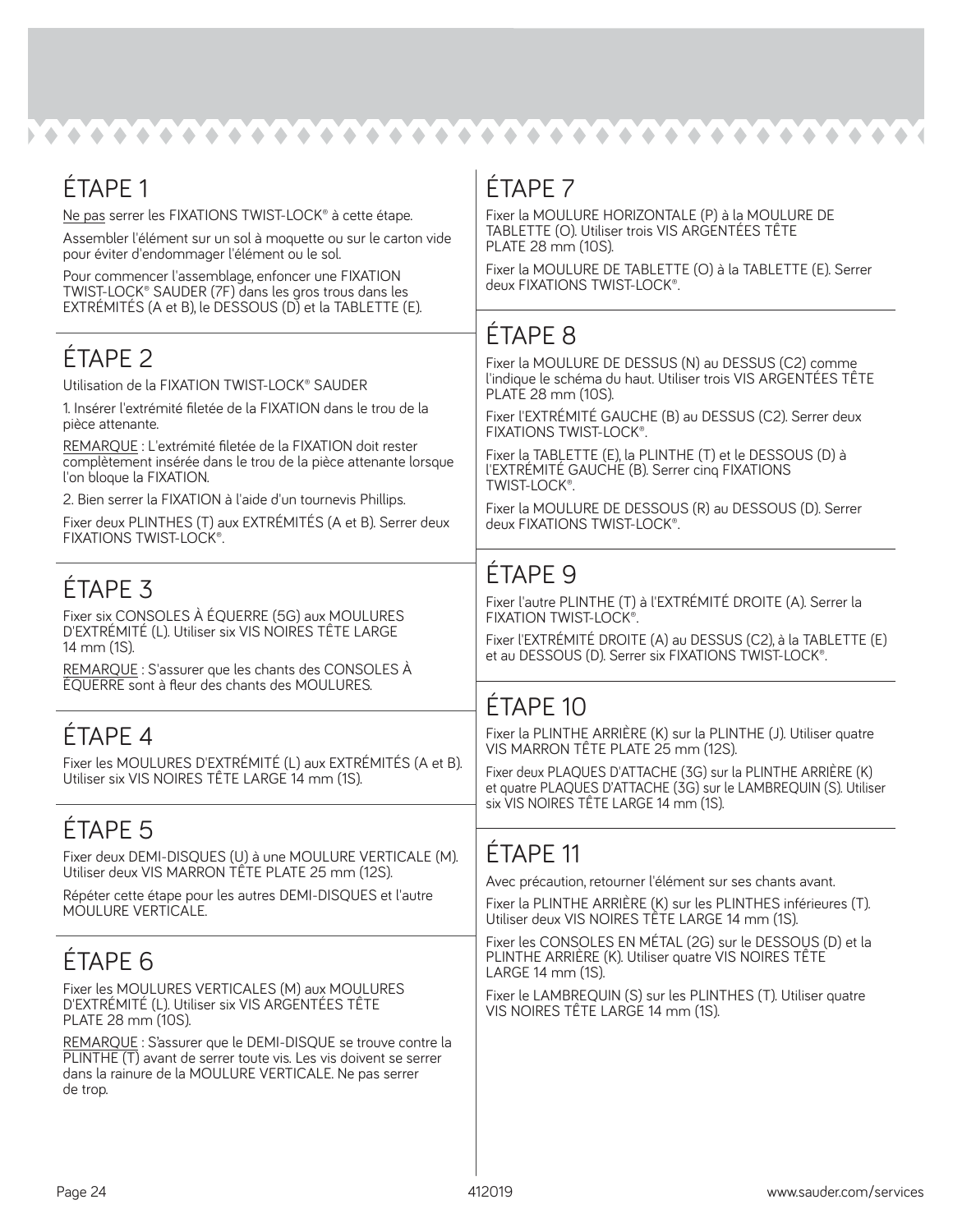| ÉTAPE 1                                                                                                                                                                                               | ÉTAPE 7                                                                                                                                                                                                                          |  |  |
|-------------------------------------------------------------------------------------------------------------------------------------------------------------------------------------------------------|----------------------------------------------------------------------------------------------------------------------------------------------------------------------------------------------------------------------------------|--|--|
| Ne pas serrer les FIXATIONS TWIST-LOCK® à cette étape.                                                                                                                                                | Fixer la MOULURE HORIZONTALE (P) à la MOULURE DE<br>TABLETTE (O). Utiliser trois VIS ARGENTÉES TÊTE                                                                                                                              |  |  |
| Assembler l'élément sur un sol à moquette ou sur le carton vide<br>pour éviter d'endommager l'élément ou le sol.                                                                                      | PLATE 28 mm (10S).                                                                                                                                                                                                               |  |  |
| Pour commencer l'assemblage, enfoncer une FIXATION<br>TWIST-LOCK® SAUDER (7F) dans les gros trous dans les<br>EXTRÉMITÉS (A et B), le DESSOUS (D) et la TABLETTE (E).                                 | Fixer la MOULURE DE TABLETTE (O) à la TABLETTE (E). Serrer<br>deux FIXATIONS TWIST-LOCK®.                                                                                                                                        |  |  |
|                                                                                                                                                                                                       | <b>ÉTAPE 8</b>                                                                                                                                                                                                                   |  |  |
| <b>ÉTAPE 2</b>                                                                                                                                                                                        | Fixer la MOULURE DE DESSUS (N) au DESSUS (C2) comme                                                                                                                                                                              |  |  |
| Utilisation de la FIXATION TWIST-LOCK® SAUDER                                                                                                                                                         | l'indique le schéma du haut. Utiliser trois VIS ARGENTÉES TÊTE<br>PLATE 28 mm (10S).                                                                                                                                             |  |  |
| 1. Insérer l'extrémité filetée de la FIXATION dans le trou de la<br>pièce attenante.                                                                                                                  | Fixer l'EXTRÉMITÉ GAUCHE (B) au DESSUS (C2). Serrer deux<br>FIXATIONS TWIST-LOCK®.                                                                                                                                               |  |  |
| REMARQUE : L'extrémité filetée de la FIXATION doit rester<br>complètement insérée dans le trou de la pièce attenante lorsque<br>l'on bloque la FIXATION.                                              | Fixer la TABLETTE (E), la PLINTHE (T) et le DESSOUS (D) à<br>l'EXTRÉMITÉ GAUCHE (B). Serrer cinq FIXATIONS<br>TWIST-LOCK®.<br>Fixer la MOULURE DE DESSOUS (R) au DESSOUS (D). Serrer<br>deux FIXATIONS TWIST-LOCK <sup>®</sup> . |  |  |
| 2. Bien serrer la FIXATION à l'aide d'un tournevis Phillips.<br>Fixer deux PLINTHES (T) aux EXTRÉMITÉS (A et B). Serrer deux<br>FIXATIONS TWIST-LOCK®.                                                |                                                                                                                                                                                                                                  |  |  |
|                                                                                                                                                                                                       |                                                                                                                                                                                                                                  |  |  |
| <b>ÉTAPE 3</b>                                                                                                                                                                                        | <b>ÉTAPE 9</b>                                                                                                                                                                                                                   |  |  |
| Fixer six CONSOLES À ÉQUERRE (5G) aux MOULURES                                                                                                                                                        | Fixer l'autre PLINTHE (T) à l'EXTRÉMITÉ DROITE (A). Serrer la<br>FIXATION TWIST-LOCK <sup>®</sup> .                                                                                                                              |  |  |
| D'EXTRÉMITÉ (L). Utiliser six VIS NOIRES TÊTE LARGE<br>14 mm (1S).                                                                                                                                    | Fixer l'EXTRÉMITÉ DROITE (A) au DESSUS (C2), à la TABLETTE (E)<br>et au DESSOUS (D). Serrer six FIXATIONS TWIST-LOCK®.                                                                                                           |  |  |
| REMARQUE: S'assurer que les chants des CONSOLES À<br>ÉQUERRE sont à fleur des chants des MOULURES.                                                                                                    |                                                                                                                                                                                                                                  |  |  |
|                                                                                                                                                                                                       | <b>ÉTAPE 10</b>                                                                                                                                                                                                                  |  |  |
| ÉTAPE 4                                                                                                                                                                                               | Fixer la PLINTHE ARRIÈRE (K) sur la PLINTHE (J). Utiliser quatre<br>VIS MARRON TÊTE PLATE 25 mm (12S).                                                                                                                           |  |  |
| Fixer les MOULURES D'EXTRÉMITÉ (L) aux EXTRÉMITÉS (A et B).<br>Utiliser six VIS NOIRES TÊTE LARGE 14 mm (1S).                                                                                         | Fixer deux PLAQUES D'ATTACHE (3G) sur la PLINTHE ARRIÈRE (K)<br>et quatre PLAQUES D'ATTACHE (3G) sur le LAMBREQUIN (S). Utiliser                                                                                                 |  |  |
|                                                                                                                                                                                                       | six VIS NOIRES TÊTE LARGE 14 mm (1S).                                                                                                                                                                                            |  |  |
| ÉTAPE 5                                                                                                                                                                                               | ÉTAPE 11                                                                                                                                                                                                                         |  |  |
| Fixer deux DEMI-DISQUES (U) à une MOULURE VERTICALE (M).<br>Utiliser deux VIS MARRON TÊTE PLATE 25 mm (12S).                                                                                          | Avec précaution, retourner l'élément sur ses chants avant.                                                                                                                                                                       |  |  |
| Répéter cette étape pour les autres DEMI-DISQUES et l'autre<br>MOULURE VERTICALE.                                                                                                                     | Fixer la PLINTHE ARRIÈRE (K) sur les PLINTHES inférieures (T).<br>Utiliser deux VIS NOIRES TÊTE LARGE 14 mm (1S).                                                                                                                |  |  |
|                                                                                                                                                                                                       | Fixer les CONSOLES EN MÉTAL (2G) sur le DESSOUS (D) et la                                                                                                                                                                        |  |  |
| ÉTAPE <sub>6</sub>                                                                                                                                                                                    | PLINTHE ARRIÈRE (K). Utiliser quatre VIS NOIRES TÊTE<br>LARGE 14 mm (1S).                                                                                                                                                        |  |  |
| Fixer les MOULURES VERTICALES (M) aux MOULURES<br>D'EXTRÉMITÉ (L). Utiliser six VIS ARGENTÉES TÊTE<br>PLATE 28 mm (10S).                                                                              | Fixer le LAMBREQUIN (S) sur les PLINTHES (T). Utiliser quatre<br>VIS NOIRES TÊTE LARGE 14 mm (1S).                                                                                                                               |  |  |
| REMARQUE : S'assurer que le DEMI-DISQUE se trouve contre la<br>PLINTHE (T) avant de serrer toute vis. Les vis doivent se serrer<br>dans la rainure de la MOULURE VERTICALE. Ne pas serrer<br>de trop. |                                                                                                                                                                                                                                  |  |  |
|                                                                                                                                                                                                       |                                                                                                                                                                                                                                  |  |  |
|                                                                                                                                                                                                       |                                                                                                                                                                                                                                  |  |  |
|                                                                                                                                                                                                       |                                                                                                                                                                                                                                  |  |  |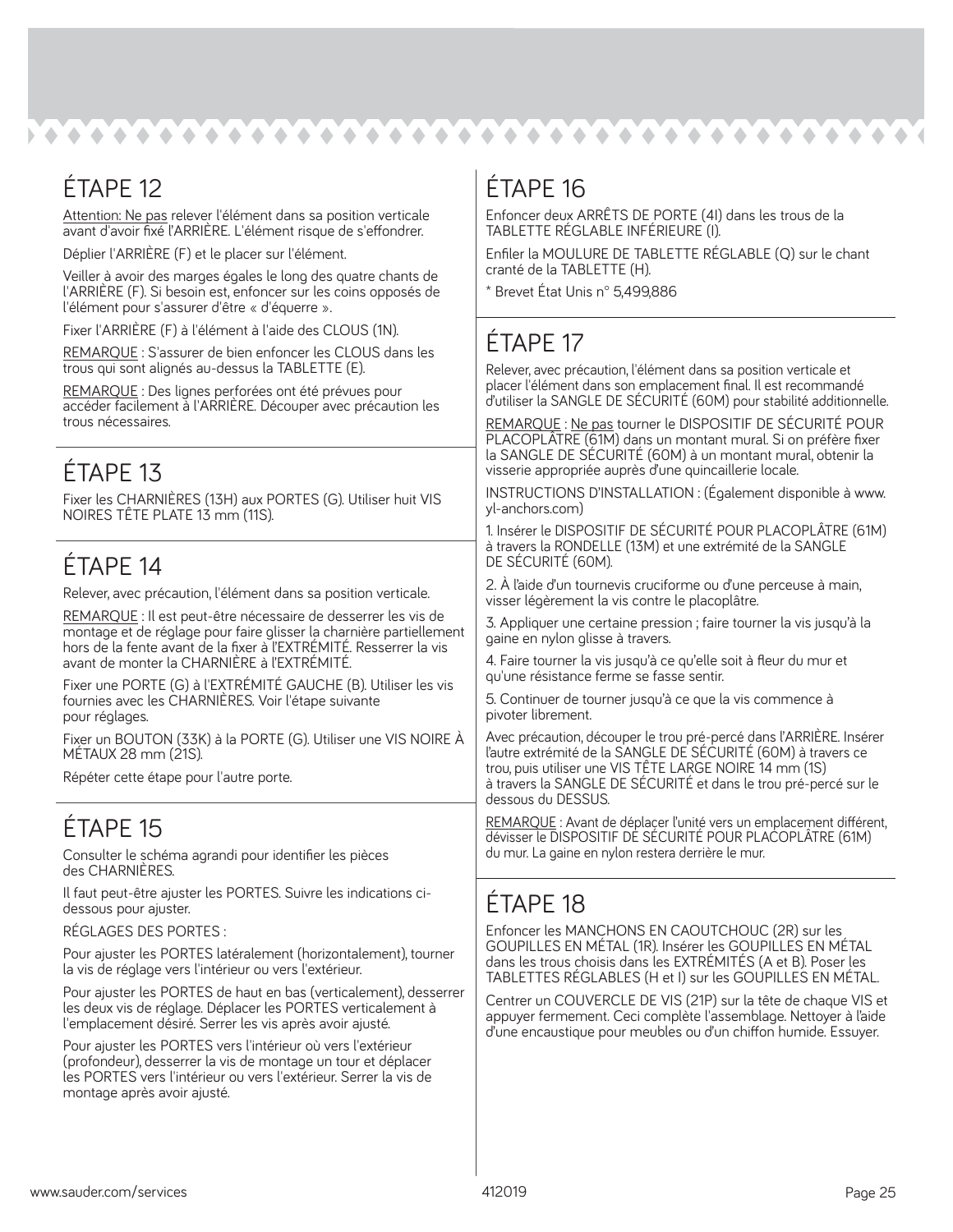## ÉTAPE 12

Attention: Ne pas relever l'élément dans sa position verticale avant d'avoir fixé l'ARRIÈRE. L'élément risque de s'effondrer.

Déplier l'ARRIÈRE (F) et le placer sur l'élément.

Veiller à avoir des marges égales le long des quatre chants de l'ARRIÈRE (F). Si besoin est, enfoncer sur les coins opposés de l'élément pour s'assurer d'être « d'équerre ».

Fixer l'ARRIÈRE (F) à l'élément à l'aide des CLOUS (1N).

REMARQUE : S'assurer de bien enfoncer les CLOUS dans les trous qui sont alignés au-dessus la TABLETTE (E).

REMARQUE : Des lignes perforées ont été prévues pour accéder facilement à l'ARRIÈRE. Découper avec précaution les trous nécessaires.

## ÉTAPE 13

Fixer les CHARNIÈRES (13H) aux PORTES (G). Utiliser huit VIS NOIRES TÊTE PLATE 13 mm (11S).

### ÉTAPE 14

Relever, avec précaution, l'élément dans sa position verticale.

REMARQUE : Il est peut-être nécessaire de desserrer les vis de montage et de réglage pour faire glisser la charnière partiellement hors de la fente avant de la fixer à l'EXTRÉMITÉ. Resserrer la vis avant de monter la CHARNIÈRE à l'EXTRÉMITÉ.

Fixer une PORTE (G) à l'EXTRÉMITÉ GAUCHE (B). Utiliser les vis fournies avec les CHARNIÈRES. Voir l'étape suivante pour réglages.

Fixer un BOUTON (33K) à la PORTE (G). Utiliser une VIS NOIRE À MÉTAUX 28 mm (21S).

Répéter cette étape pour l'autre porte.

## ÉTAPE 15

Consulter le schéma agrandi pour identifier les pièces des CHARNIÈRES.

Il faut peut-être ajuster les PORTES. Suivre les indications cidessous pour ajuster.

RÉGLAGES DES PORTES :

Pour ajuster les PORTES latéralement (horizontalement), tourner la vis de réglage vers l'intérieur ou vers l'extérieur.

Pour ajuster les PORTES de haut en bas (verticalement), desserrer les deux vis de réglage. Déplacer les PORTES verticalement à l'emplacement désiré. Serrer les vis après avoir ajusté.

Pour ajuster les PORTES vers l'intérieur où vers l'extérieur (profondeur), desserrer la vis de montage un tour et déplacer les PORTES vers l'intérieur ou vers l'extérieur. Serrer la vis de montage après avoir ajusté.

## ÉTAPE 16

Enfoncer deux ARRÊTS DE PORTE (4I) dans les trous de la TABLETTE RÉGLABLE INFÉRIEURE (I).

Enfiler la MOULURE DE TABLETTE RÉGLABLE (Q) sur le chant cranté de la TABLETTE (H).

\* Brevet État Unis n° 5,499,886

## ÉTAPE 17

Relever, avec précaution, l'élément dans sa position verticale et placer l'élément dans son emplacement final. Il est recommandé d'utiliser la SANGLE DE SÉCURITÉ (60M) pour stabilité additionnelle.

REMARQUE : Ne pas tourner le DISPOSITIF DE SÉCURITÉ POUR PLACOPLÂTRE (61M) dans un montant mural. Si on préfère fixer la SANGLE DE SÉCURITÉ (60M) à un montant mural, obtenir la visserie appropriée auprès d'une quincaillerie locale.

INSTRUCTIONS D'INSTALLATION : (Également disponible à www. yl-anchors.com)

1. Insérer le DISPOSITIF DE SÉCURITÉ POUR PLACOPLÂTRE (61M) à travers la RONDELLE (13M) et une extrémité de la SANGLE DE SÉCURITÉ (60M).

2. À l'aide d'un tournevis cruciforme ou d'une perceuse à main, visser légèrement la vis contre le placoplâtre.

3. Appliquer une certaine pression ; faire tourner la vis jusqu'à la gaine en nylon glisse à travers.

4. Faire tourner la vis jusqu'à ce qu'elle soit à fleur du mur et qu'une résistance ferme se fasse sentir.

5. Continuer de tourner jusqu'à ce que la vis commence à pivoter librement.

Avec précaution, découper le trou pré-percé dans l'ARRIÈRE. Insérer l'autre extrémité de la SANGLE DE SÉCURITÉ (60M) à travers ce trou, puis utiliser une VIS TÊTE LARGE NOIRE 14 mm (1S) à travers la SANGLE DE SÉCURITÉ et dans le trou pré-percé sur le dessous du DESSUS.

REMARQUE : Avant de déplacer l'unité vers un emplacement différent, dévisser le DISPOSITIF DE SÉCURITÉ POUR PLACOPLÂTRE (61M) du mur. La gaine en nylon restera derrière le mur.

### ÉTAPE 18

Enfoncer les MANCHONS EN CAOUTCHOUC (2R) sur les GOUPILLES EN MÉTAL (1R). Insérer les GOUPILLES EN MÉTAL dans les trous choisis dans les EXTRÉMITÉS (A et B). Poser les TABLETTES RÉGLABLES (H et I) sur les GOUPILLES EN MÉTAL.

Centrer un COUVERCLE DE VIS (21P) sur la tête de chaque VIS et appuyer fermement. Ceci complète l'assemblage. Nettoyer à l'aide d'une encaustique pour meubles ou d'un chiffon humide. Essuyer.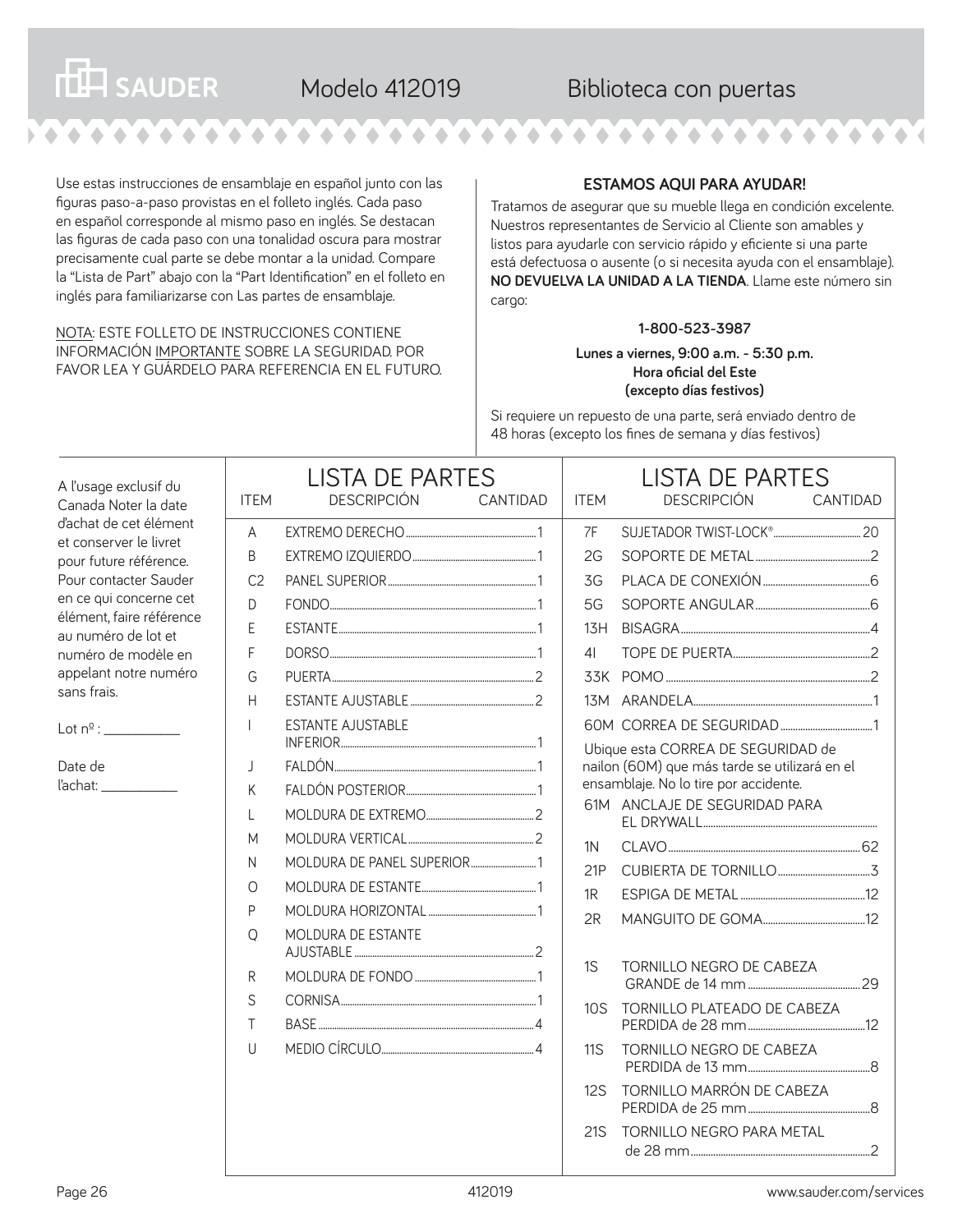Use estas instrucciones de ensamblaje en español junto con las figuras paso-a-paso provistas en el folleto inglés. Cada paso en español corresponde al mismo paso en inglés. Se destacan las figuras de cada paso con una tonalidad oscura para mostrar precisamente cual parte se debe montar a la unidad. Compare la "Lista de Part" abajo con la "Part Identification" en el folleto en inglés para familiarizarse con Las partes de ensamblaje.

**THE SAUDER** 

#### NOTA: ESTE FOLLETO DE INSTRUCCIONES CONTIENE INFORMACIÓN IMPORTANTE SOBRE LA SEGURIDAD. POR FAVOR LEA Y GUÁRDELO PARA REFERENCIA EN EL FUTURO.

#### **ESTAMOS AQUI PARA AYUDAR!**

Tratamos de asegurar que su mueble llega en condición excelente. Nuestros representantes de Servicio al Cliente son amables y listos para ayudarle con servicio rápido y eficiente si una parte está defectuosa o ausente (o si necesita ayuda con el ensamblaje). **NO DEVUELVA LA UNIDAD A LA TIENDA**. Llame este número sin cargo:

#### **1-800-523-3987**

**Lunes a viernes, 9:00 a.m. - 5:30 p.m. Hora oficial del Este (excepto días festivos)**

Si requiere un repuesto de una parte, será enviado dentro de 48 horas (excepto los fines de semana y días festivos)

| A l'usage exclusif du<br>Canada Noter la date                                                                                                                                                                                                   | <b>ITEM</b>                                                         | <b>LISTA DE PARTES</b><br><b>DESCRIPCIÓN</b> | CANTIDAD | <b>ITEM</b>                                   | <b>LISTA DE PARTES</b><br><b>DESCRIPCIÓN</b><br>CANTIDAD                                                                                                      |  |
|-------------------------------------------------------------------------------------------------------------------------------------------------------------------------------------------------------------------------------------------------|---------------------------------------------------------------------|----------------------------------------------|----------|-----------------------------------------------|---------------------------------------------------------------------------------------------------------------------------------------------------------------|--|
| d'achat de cet élément<br>et conserver le livret<br>pour future référence.<br>Pour contacter Sauder<br>en ce qui concerne cet<br>élément, faire référence<br>au numéro de lot et<br>numéro de modèle en<br>appelant notre numéro<br>sans frais. | $\overline{A}$<br>B<br>C <sub>2</sub><br>$\Box$<br>E<br>F<br>G<br>H |                                              |          | 7F<br>2G<br>3G<br>5G<br>13H<br>4 <sub>l</sub> |                                                                                                                                                               |  |
| Lot n <sup>o</sup> :<br>Date de                                                                                                                                                                                                                 | $\overline{1}$<br>$\overline{1}$<br>K<br>L<br>M                     | <b>ESTANTE AJUSTABLE</b>                     |          |                                               | Ubique esta CORREA DE SEGURIDAD de<br>nailon (60M) que más tarde se utilizará en el<br>ensamblaje. No lo tire por accidente.<br>61M ANCLAJE DE SEGURIDAD PARA |  |
|                                                                                                                                                                                                                                                 | N<br>$\circ$<br>P<br>$\Omega$                                       | MOLDURA DE ESTANTE                           |          | 1N<br>21P<br>1R<br>2R                         |                                                                                                                                                               |  |
|                                                                                                                                                                                                                                                 | R<br>S<br>$\top$<br>$\cup$                                          |                                              |          | 1S<br>10S<br><b>11S</b><br>12S<br><b>21S</b>  | TORNILLO NEGRO DE CABEZA<br>TORNILLO PLATEADO DE CABEZA<br>TORNILLO NEGRO DE CABEZA<br>TORNILLO MARRÓN DE CABEZA<br>TORNILLO NEGRO PARA METAL                 |  |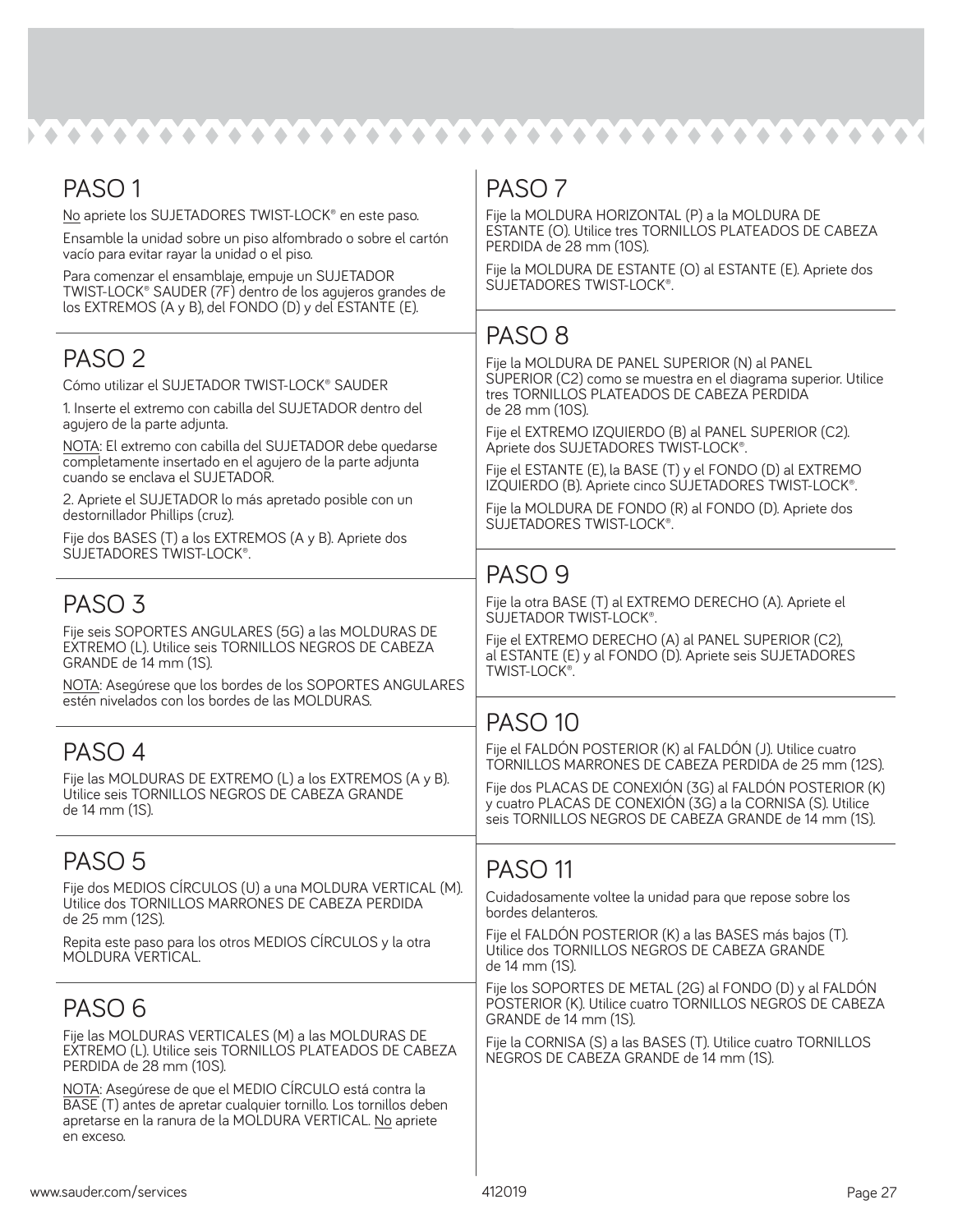kata tana tana tana tana tana tana tan

| PASO <sub>1</sub>                                                                                                                        | PASO <sub>7</sub>                                                                                                      |
|------------------------------------------------------------------------------------------------------------------------------------------|------------------------------------------------------------------------------------------------------------------------|
| No apriete los SUJETADORES TWIST-LOCK <sup>®</sup> en este paso.                                                                         | Fije la MOLDURA HORIZONTAL (P) a la MOLDURA DE                                                                         |
| Ensamble la unidad sobre un piso alfombrado o sobre el cartón<br>vacío para evitar rayar la unidad o el piso.                            | ESTANTE (O). Utilice tres TORNILLOS PLATEADOS DE CABEZA<br>PERDIDA de 28 mm (10S).                                     |
| Para comenzar el ensamblaje, empuje un SUJETADOR                                                                                         | Fije la MOLDURA DE ESTANTE (O) al ESTANTE (E). Apriete dos<br>SUJETADORES TWIST-LOCK®.                                 |
| TWIST-LOCK® SAUDER (7F) dentro de los agujeros grandes de<br>los EXTREMOS (A y B), del FONDO (D) y del ESTANTE (E).                      |                                                                                                                        |
|                                                                                                                                          | PASO <sub>8</sub>                                                                                                      |
| PASO <sub>2</sub>                                                                                                                        |                                                                                                                        |
| Cómo utilizar el SUJETADOR TWIST-LOCK <sup>®</sup> SAUDER                                                                                | Fije la MOLDURA DE PANEL SUPERIOR (N) al PANEL<br>SUPERIOR (C2) como se muestra en el diagrama superior. Utilice       |
| 1. Inserte el extremo con cabilla del SUJETADOR dentro del                                                                               | tres TORNILLOS PLATEADOS DE CABEZA PERDIDA<br>de 28 mm (10S).                                                          |
| agujero de la parte adjunta.<br>NOTA: El extremo con cabilla del SUJETADOR debe quedarse                                                 | Fije el EXTREMO IZQUIERDO (B) al PANEL SUPERIOR (C2).                                                                  |
| completamente insertado en el agujero de la parte adjunta<br>cuando se enclava el SUJETADOR.                                             | Apriete dos SUJETADORES TWIST-LOCK®.<br>Fije el ESTANTE (E), la BASE (T) y el FONDO (D) al EXTREMO                     |
| 2. Apriete el SUJETADOR lo más apretado posible con un                                                                                   | IZQUIERDO (B). Apriete cinco SUJETADORES TWIST-LOCK®.                                                                  |
| destornillador Phillips (cruz).                                                                                                          | Fije la MOLDURA DE FONDO (R) al FONDO (D). Apriete dos<br>SUJETADORES TWIST-LOCK®.                                     |
| Fije dos BASES (T) a los EXTREMOS (A y B). Apriete dos                                                                                   |                                                                                                                        |
| SUJETADORES TWIST-LOCK®.                                                                                                                 | PASO <sub>9</sub>                                                                                                      |
|                                                                                                                                          | Fije la otra BASE (T) al EXTREMO DERECHO (A). Apriete el                                                               |
| PASO <sub>3</sub>                                                                                                                        | SUJETADOR TWIST-LOCK®.                                                                                                 |
| Fije seis SOPORTES ANGULARES (5G) a las MOLDURAS DE<br>EXTREMO (L). Utilice seis TORNILLOS NEGROS DE CABEZA                              | Fije el EXTREMO DERECHO (A) al PANEL SUPERIOR (C2),                                                                    |
| GRANDE de 14 mm (1S).                                                                                                                    | al ESTANTE (E) y al FONDO (D). Apriete seis SUJETADORES<br>TWIST-LOCK®.                                                |
| NOTA: Asegúrese que los bordes de los SOPORTES ANGULARES<br>estén nivelados con los bordes de las MOLDURAS.                              |                                                                                                                        |
|                                                                                                                                          | <b>PASO 10</b>                                                                                                         |
| PASO 4                                                                                                                                   | Fije el FALDÓN POSTERIOR (K) al FALDÓN (J). Utilice cuatro                                                             |
| Fije las MOLDURAS DE EXTREMO (L) a los EXTREMOS (A y B).                                                                                 | TORNILLOS MARRONES DE CABEZA PERDIDA de 25 mm (12S).                                                                   |
| Utilice seis TORNILLOS NEGROS DE CABEZA GRANDE                                                                                           | Fije dos PLACAS DE CONEXIÓN (3G) al FALDÓN POSTERIOR (K)<br>y cuatro PLACAS DE CONEXIÓN (3G) a la CORNISA (S). Utilice |
| de 14 mm (1S).                                                                                                                           | seis TORNILLOS NEGROS DE CABEZA GRANDE de 14 mm (1S).                                                                  |
| PASO 5                                                                                                                                   |                                                                                                                        |
| Fije dos MEDIOS CÍRCULOS (U) a una MOLDURA VERTICAL (M).                                                                                 | PASO <sub>11</sub>                                                                                                     |
| Utilice dos TORNILLOS MARRONES DE CABEZA PERDIDA<br>de 25 mm (12S).                                                                      | Cuidadosamente voltee la unidad para que repose sobre los<br>bordes delanteros.                                        |
| Repita este paso para los otros MEDIOS CÍRCULOS y la otra                                                                                | Fije el FALDÓN POSTERIOR (K) a las BASES más bajos (T).<br>Utilice dos TORNILLOS NEGROS DE CABEZA GRANDE               |
| MOLDURA VERTICAL.                                                                                                                        | de 14 mm (1S).                                                                                                         |
|                                                                                                                                          | Fije los SOPORTES DE METAL (2G) al FONDO (D) y al FALDÓN<br>POSTERIOR (K). Utilice cuatro TORNILLOS NEGROS DE CABEZA   |
| PASO <sub>6</sub>                                                                                                                        | GRANDE de 14 mm (1S).                                                                                                  |
| Fije las MOLDURAS VERTICALES (M) a las MOLDURAS DE<br>EXTREMO (L). Utilice seis TORNILLOS PLATEADOS DE CABEZA<br>PERDIDA de 28 mm (10S). | Fije la CORNISA (S) a las BASES (T). Utilice cuatro TORNILLOS<br>NEGROS DE CABEZA GRANDE de 14 mm (1S).                |
| NOTA: Asegúrese de que el MEDIO CÍRCULO está contra la                                                                                   |                                                                                                                        |
| BASE (T) antes de apretar cualquier tornillo. Los tornillos deben<br>apretarse en la ranura de la MOLDURA VERTICAL. No apriete           |                                                                                                                        |
| en exceso.                                                                                                                               |                                                                                                                        |
|                                                                                                                                          |                                                                                                                        |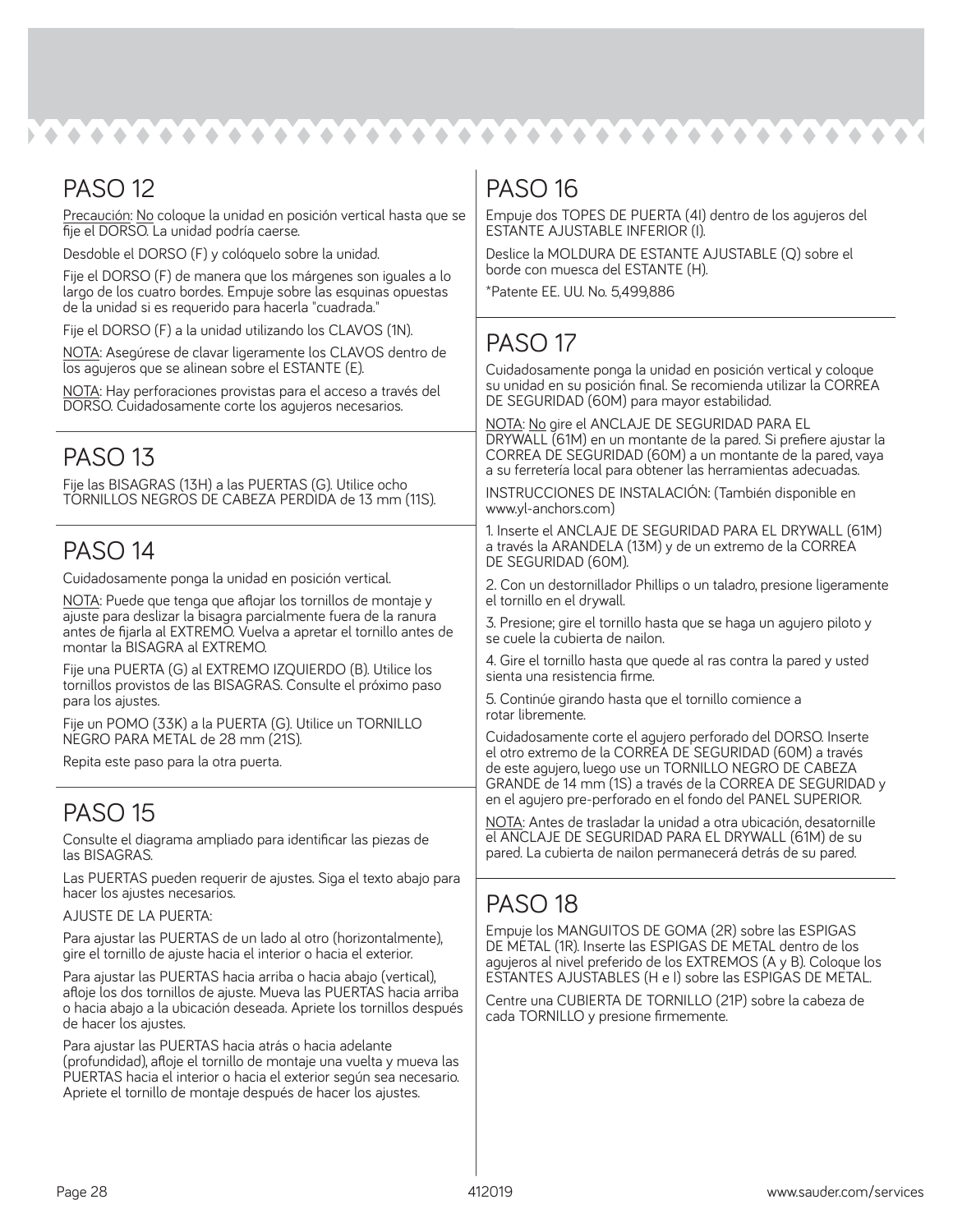### PASO 12

Precaución: No coloque la unidad en posición vertical hasta que se fije el DORSO. La unidad podría caerse.

Desdoble el DORSO (F) y colóquelo sobre la unidad.

Fije el DORSO (F) de manera que los márgenes son iguales a lo largo de los cuatro bordes. Empuje sobre las esquinas opuestas de la unidad si es requerido para hacerla "cuadrada."

Fije el DORSO (F) a la unidad utilizando los CLAVOS (1N).

NOTA: Asegúrese de clavar ligeramente los CLAVOS dentro de los agujeros que se alinean sobre el ESTANTE (E).

NOTA: Hay perforaciones provistas para el acceso a través del DORSO. Cuidadosamente corte los agujeros necesarios.

### PASO 13

Fije las BISAGRAS (13H) a las PUERTAS (G). Utilice ocho TORNILLOS NEGROS DE CABEZA PERDIDA de 13 mm (11S).

### PASO 14

Cuidadosamente ponga la unidad en posición vertical.

NOTA: Puede que tenga que aflojar los tornillos de montaje y ajuste para deslizar la bisagra parcialmente fuera de la ranura antes de fijarla al EXTREMO. Vuelva a apretar el tornillo antes de montar la BISAGRA al EXTREMO.

Fije una PUERTA (G) al EXTREMO IZQUIERDO (B). Utilice los tornillos provistos de las BISAGRAS. Consulte el próximo paso para los ajustes.

Fije un POMO (33K) a la PUERTA (G). Utilice un TORNILLO NEGRO PARA METAL de 28 mm (21S).

Repita este paso para la otra puerta.

### PASO 15

Consulte el diagrama ampliado para identificar las piezas de las BISAGRAS.

Las PUERTAS pueden requerir de ajustes. Siga el texto abajo para hacer los ajustes necesarios.

AJUSTE DE LA PUERTA:

Para ajustar las PUERTAS de un lado al otro (horizontalmente), gire el tornillo de ajuste hacia el interior o hacia el exterior.

Para ajustar las PUERTAS hacia arriba o hacia abajo (vertical), afloje los dos tornillos de ajuste. Mueva las PUERTAS hacia arriba o hacia abajo a la ubicación deseada. Apriete los tornillos después de hacer los ajustes.

Para ajustar las PUERTAS hacia atrás o hacia adelante (profundidad), afloje el tornillo de montaje una vuelta y mueva las PUERTAS hacia el interior o hacia el exterior según sea necesario. Apriete el tornillo de montaje después de hacer los ajustes.

### PASO 16

Empuje dos TOPES DE PUERTA (4I) dentro de los agujeros del ESTANTE AJUSTABLE INFERIOR (I).

Deslice la MOLDURA DE ESTANTE AJUSTABLE (Q) sobre el borde con muesca del ESTANTE (H).

\*Patente EE. UU. No. 5,499,886

### PASO 17

Cuidadosamente ponga la unidad en posición vertical y coloque su unidad en su posición final. Se recomienda utilizar la CORREA DE SEGURIDAD (60M) para mayor estabilidad.

NOTA: No gire el ANCLAJE DE SEGURIDAD PARA EL DRYWALL (61M) en un montante de la pared. Si prefiere ajustar la CORREA DE SEGURIDAD (60M) a un montante de la pared, vaya a su ferretería local para obtener las herramientas adecuadas.

INSTRUCCIONES DE INSTALACIÓN: (También disponible en www.yl-anchors.com)

1. Inserte el ANCLAJE DE SEGURIDAD PARA EL DRYWALL (61M) a través la ARANDELA (13M) y de un extremo de la CORREA DE SEGURIDAD (60M).

2. Con un destornillador Phillips o un taladro, presione ligeramente el tornillo en el drywall.

3. Presione; gire el tornillo hasta que se haga un agujero piloto y se cuele la cubierta de nailon.

4. Gire el tornillo hasta que quede al ras contra la pared y usted sienta una resistencia firme.

5. Continúe girando hasta que el tornillo comience a rotar libremente.

Cuidadosamente corte el agujero perforado del DORSO. Inserte el otro extremo de la CORREA DE SEGURIDAD (60M) a través de este agujero, luego use un TORNILLO NEGRO DE CABEZA GRANDE de 14 mm (1S) a través de la CORREA DE SEGURIDAD y en el agujero pre-perforado en el fondo del PANEL SUPERIOR.

NOTA: Antes de trasladar la unidad a otra ubicación, desatornille el ANCLAJE DE SEGURIDAD PARA EL DRYWALL (61M) de su pared. La cubierta de nailon permanecerá detrás de su pared.

### PASO 18

Empuje los MANGUITOS DE GOMA (2R) sobre las ESPIGAS DE METAL (1R). Inserte las ESPIGAS DE METAL dentro de los agujeros al nivel preferido de los EXTREMOS (A y B). Coloque los ESTANTES AJUSTABLES (H e I) sobre las ESPIGAS DE METAL.

Centre una CUBIERTA DE TORNILLO (21P) sobre la cabeza de cada TORNILLO y presione firmemente.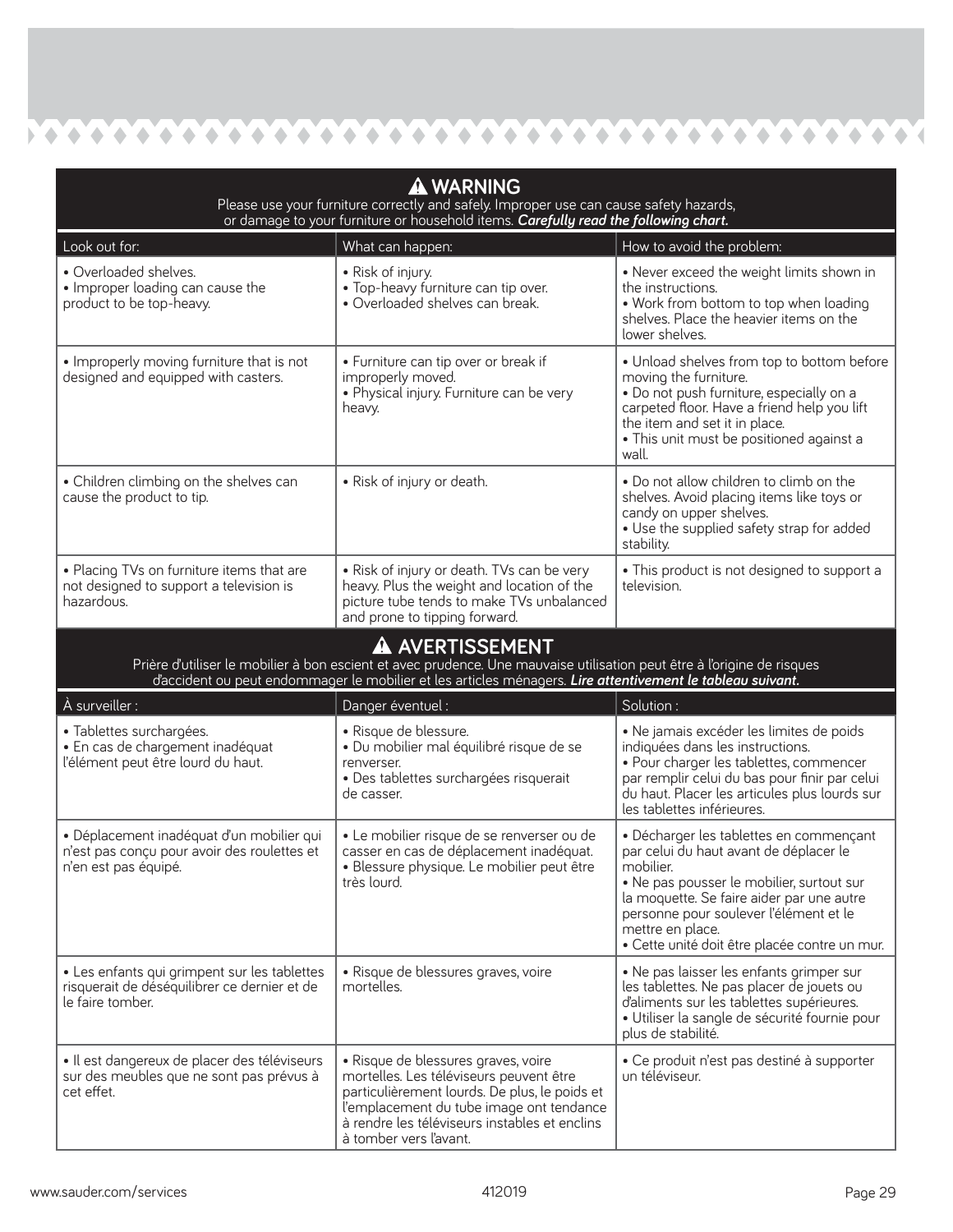$\bullet \bullet \bullet \bullet \bullet \bullet \bullet \bullet \bullet \bullet \bullet \bullet \bullet \bullet \bullet$  $\bullet$  $\bullet \bullet \bullet \bullet$  $\blacklozenge$  $\bullet$  $\bullet$  $\bullet$  $\blacklozenge$ 

**A** 

| <b>A WARNING</b><br>Please use your furniture correctly and safely. Improper use can cause safety hazards,<br>or damage to your furniture or household items. Carefully read the following chart. |                                                                                                                                                                                                                                                          |                                                                                                                                                                                                                                                                                                         |  |  |  |  |
|---------------------------------------------------------------------------------------------------------------------------------------------------------------------------------------------------|----------------------------------------------------------------------------------------------------------------------------------------------------------------------------------------------------------------------------------------------------------|---------------------------------------------------------------------------------------------------------------------------------------------------------------------------------------------------------------------------------------------------------------------------------------------------------|--|--|--|--|
| Look out for:                                                                                                                                                                                     | What can happen:                                                                                                                                                                                                                                         | How to avoid the problem:                                                                                                                                                                                                                                                                               |  |  |  |  |
| • Overloaded shelves.<br>• Improper loading can cause the<br>product to be top-heavy.                                                                                                             | • Risk of injury.<br>. Top-heavy furniture can tip over.<br>· Overloaded shelves can break.                                                                                                                                                              | • Never exceed the weight limits shown in<br>the instructions.<br>• Work from bottom to top when loading<br>shelves. Place the heavier items on the<br>lower shelves.                                                                                                                                   |  |  |  |  |
| • Improperly moving furniture that is not<br>designed and equipped with casters.                                                                                                                  | • Furniture can tip over or break if<br>improperly moved.<br>· Physical injury. Furniture can be very<br>heavy.                                                                                                                                          | . Unload shelves from top to bottom before<br>moving the furniture.<br>· Do not push furniture, especially on a<br>carpeted floor. Have a friend help you lift<br>the item and set it in place.<br>• This unit must be positioned against a<br>wall.                                                    |  |  |  |  |
| • Children climbing on the shelves can<br>cause the product to tip.                                                                                                                               | • Risk of injury or death.                                                                                                                                                                                                                               | . Do not allow children to climb on the<br>shelves. Avoid placing items like toys or<br>candy on upper shelves.<br>• Use the supplied safety strap for added<br>stability.                                                                                                                              |  |  |  |  |
| . Placing TVs on furniture items that are<br>not designed to support a television is<br>hazardous.                                                                                                | • Risk of injury or death. TVs can be very<br>heavy. Plus the weight and location of the<br>picture tube tends to make TVs unbalanced<br>and prone to tipping forward.                                                                                   | • This product is not designed to support a<br>television.                                                                                                                                                                                                                                              |  |  |  |  |
|                                                                                                                                                                                                   | A AVERTISSEMENT<br>Prière d'utiliser le mobilier à bon escient et avec prudence. Une mauvaise utilisation peut être à l'origine de risques<br>d'accident ou peut endommager le mobilier et les articles ménagers. Lire attentivement le tableau suivant. |                                                                                                                                                                                                                                                                                                         |  |  |  |  |
| À surveiller :                                                                                                                                                                                    | Danger éventuel :                                                                                                                                                                                                                                        | Solution:                                                                                                                                                                                                                                                                                               |  |  |  |  |
| · Tablettes surchargées.<br>· En cas de chargement inadéquat<br>l'élément peut être lourd du haut.                                                                                                | · Risque de blessure.<br>· Du mobilier mal équilibré risque de se<br>renverser.<br>· Des tablettes surchargées risquerait<br>de casser.                                                                                                                  | · Ne jamais excéder les limites de poids<br>indiquées dans les instructions.<br>• Pour charger les tablettes, commencer<br>par remplir celui du bas pour finir par celui<br>du haut. Placer les articules plus lourds sur<br>les tablettes inférieures.                                                 |  |  |  |  |
| · Déplacement inadéquat d'un mobilier qui<br>n'est pas conçu pour avoir des roulettes et<br>n'en est pas équipé.                                                                                  | · Le mobilier risque de se renverser ou de<br>casser en cas de déplacement inadéquat.<br>· Blessure physique. Le mobilier peut être<br>très lourd.                                                                                                       | · Décharger les tablettes en commençant<br>par celui du haut avant de déplacer le<br>mobilier.<br>. Ne pas pousser le mobilier, surtout sur<br>la moquette. Se faire aider par une autre<br>personne pour soulever l'élément et le<br>mettre en place.<br>· Cette unité doit être placée contre un mur. |  |  |  |  |
| • Les enfants qui grimpent sur les tablettes<br>risquerait de déséquilibrer ce dernier et de<br>le faire tomber.                                                                                  | · Risque de blessures graves, voire<br>mortelles.                                                                                                                                                                                                        | • Ne pas laisser les enfants grimper sur<br>les tablettes. Ne pas placer de jouets ou<br>d'aliments sur les tablettes supérieures.<br>· Utiliser la sangle de sécurité fournie pour<br>plus de stabilité.                                                                                               |  |  |  |  |
| · Il est dangereux de placer des téléviseurs<br>sur des meubles que ne sont pas prévus à<br>cet effet.                                                                                            | · Risque de blessures graves, voire<br>mortelles. Les téléviseurs peuvent être<br>particulièrement lourds. De plus, le poids et<br>l'emplacement du tube image ont tendance<br>à rendre les téléviseurs instables et enclins<br>à tomber vers l'avant.   | · Ce produit n'est pas destiné à supporter<br>un téléviseur.                                                                                                                                                                                                                                            |  |  |  |  |

7 4 4 4 4 4 4 4 4 4 4 4 4 4 4 4

K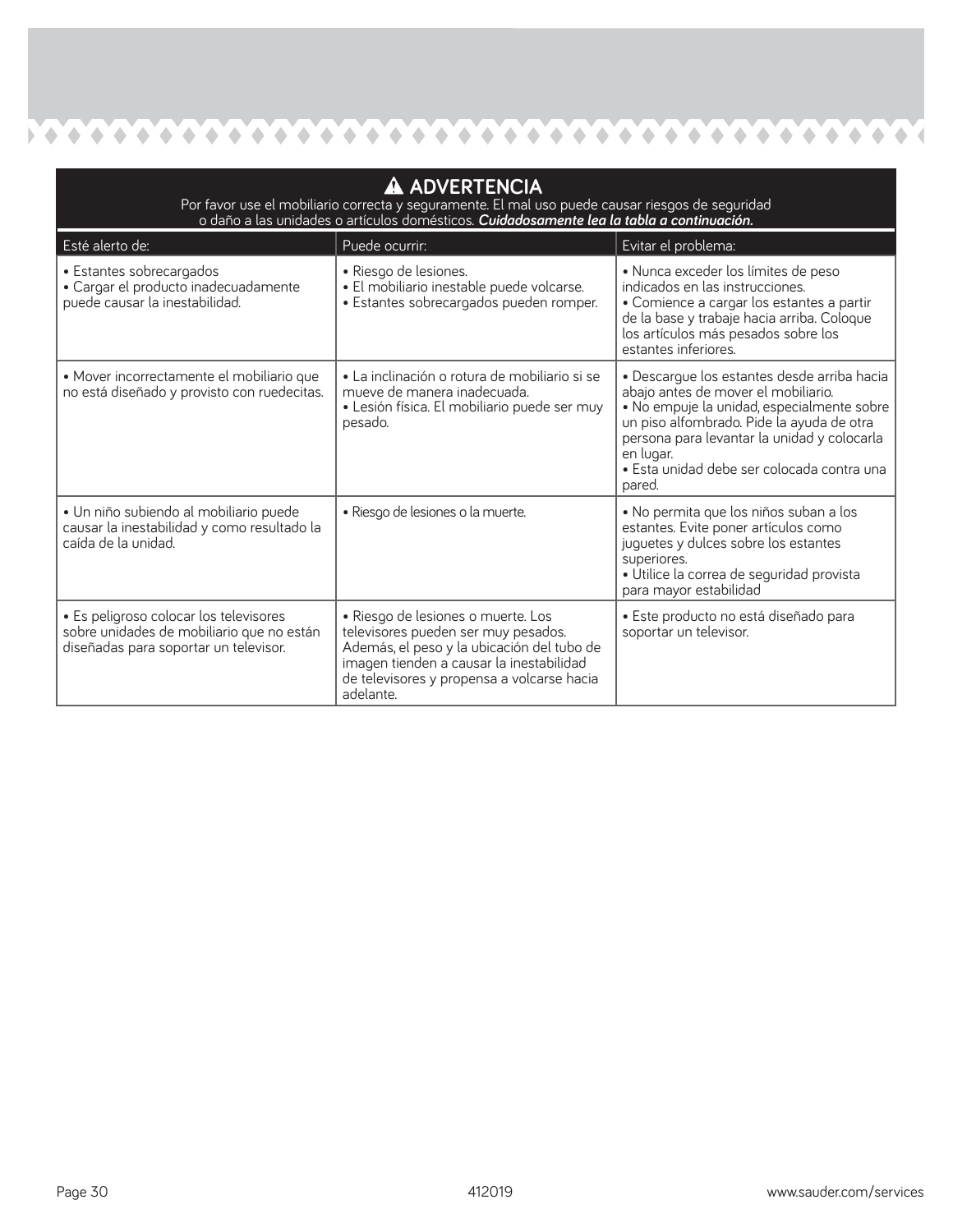$\bullet$  $\bullet$  $\bullet$  $\bullet$  $\bullet$  $\bullet$  $\bullet \bullet \bullet$ 

 $\bullet$ 

 $\bullet$ 

 $\bullet$ 

 $\bullet \bullet \bullet \bullet \bullet \bullet \bullet$ 

| A ADVERTENCIA<br>Por favor use el mobiliario correcta y seguramente. El mal uso puede causar riesgos de seguridad<br>o daño a las unidades o artículos domésticos. Cuidadosamente lea la tabla a continuación. |                                                                                                                                                                                                                                |                                                                                                                                                                                                                                                                                                   |  |  |  |
|----------------------------------------------------------------------------------------------------------------------------------------------------------------------------------------------------------------|--------------------------------------------------------------------------------------------------------------------------------------------------------------------------------------------------------------------------------|---------------------------------------------------------------------------------------------------------------------------------------------------------------------------------------------------------------------------------------------------------------------------------------------------|--|--|--|
| Esté alerto de:                                                                                                                                                                                                | Puede ocurrir:                                                                                                                                                                                                                 | Evitar el problema:                                                                                                                                                                                                                                                                               |  |  |  |
| • Estantes sobrecargados<br>· Cargar el producto inadecuadamente<br>puede causar la inestabilidad.                                                                                                             | · Riesgo de lesiones.<br>· El mobiliario inestable puede volcarse.<br>· Estantes sobrecargados pueden romper.                                                                                                                  | · Nunca exceder los límites de peso<br>indicados en las instrucciones.<br>• Comience a cargar los estantes a partir<br>de la base y trabaje hacia arriba. Coloque<br>los artículos más pesados sobre los<br>estantes inferiores.                                                                  |  |  |  |
| · Mover incorrectamente el mobiliario que<br>no está diseñado y provisto con ruedecitas.                                                                                                                       | · La inclinación o rotura de mobiliario si se<br>mueve de manera inadecuada.<br>· Lesión física. El mobiliario puede ser muy<br>pesado.                                                                                        | · Descargue los estantes desde arriba hacia<br>abajo antes de mover el mobiliario.<br>· No empuje la unidad, especialmente sobre<br>un piso alfombrado. Pide la ayuda de otra<br>persona para levantar la unidad y colocarla<br>en lugar.<br>· Esta unidad debe ser colocada contra una<br>pared. |  |  |  |
| · Un niño subiendo al mobiliario puede<br>causar la inestabilidad y como resultado la<br>caída de la unidad.                                                                                                   | · Riesgo de lesiones o la muerte.                                                                                                                                                                                              | · No permita que los niños suban a los<br>estantes. Evite poner artículos como<br>juguetes y dulces sobre los estantes<br>superiores.<br>· Utilice la correa de seguridad provista<br>para mayor estabilidad                                                                                      |  |  |  |
| · Es peligroso colocar los televisores<br>sobre unidades de mobiliario que no están<br>diseñadas para soportar un televisor.                                                                                   | · Riesgo de lesiones o muerte. Los<br>televisores pueden ser muy pesados.<br>Además, el peso y la ubicación del tubo de<br>imagen tienden a causar la inestabilidad<br>de televisores y propensa a volcarse hacia<br>adelante. | • Este producto no está diseñado para<br>soportar un televisor.                                                                                                                                                                                                                                   |  |  |  |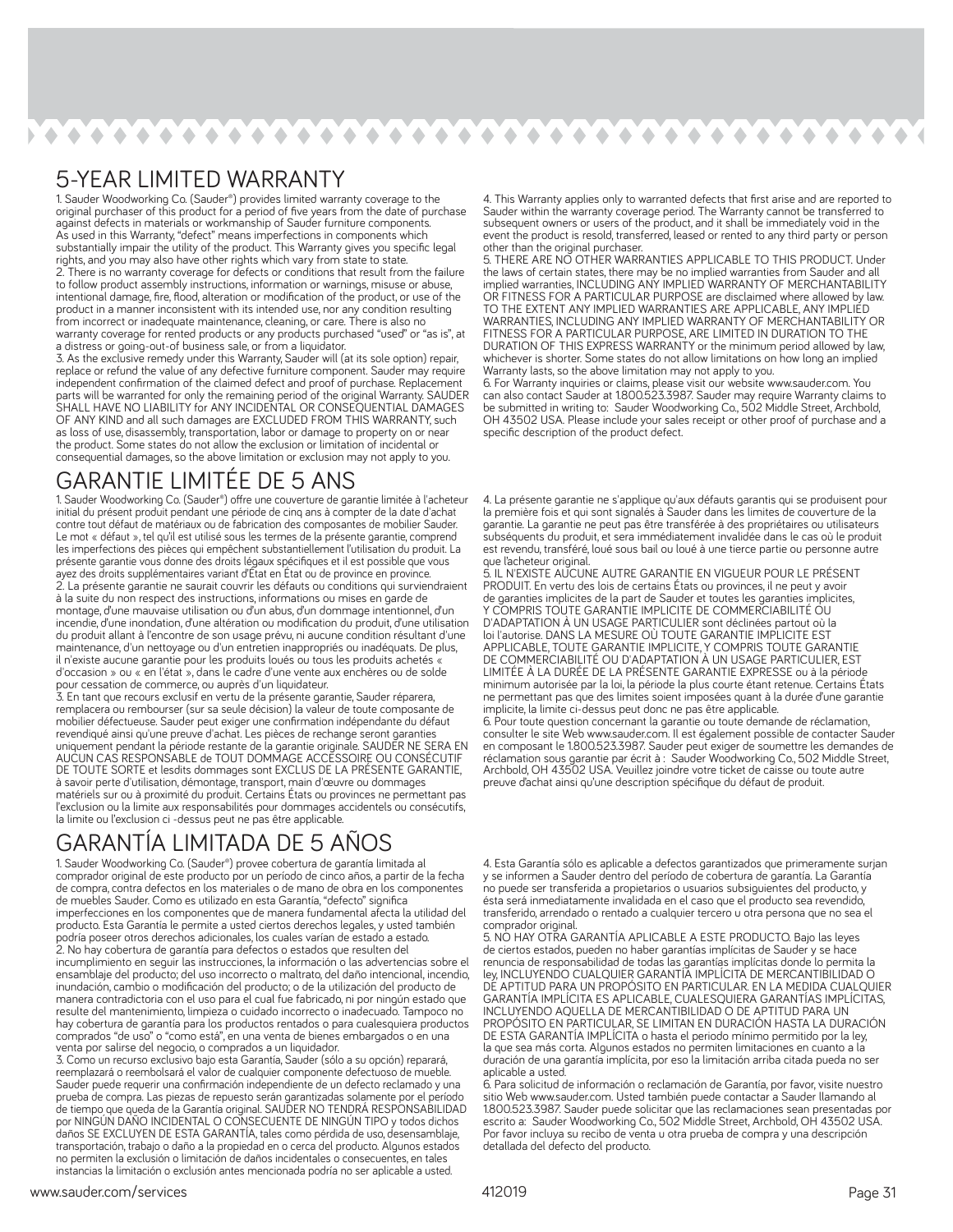$\bullet\hspace{0.1cm}\bullet\hspace{0.1cm}\bullet\hspace{0.1cm}\bullet\hspace{0.1cm}\bullet\hspace{0.1cm}\bullet\hspace{0.1cm}\bullet\hspace{0.1cm}\bullet\hspace{0.1cm}\bullet\hspace{0.1cm}\bullet\hspace{0.1cm}\bullet\hspace{0.1cm}\bullet\hspace{0.1cm}\bullet\hspace{0.1cm}\bullet\hspace{0.1cm}\bullet\hspace{0.1cm}\bullet\hspace{0.1cm}\bullet\hspace{0.1cm}\bullet\hspace{0.1cm}\bullet\hspace{0.1cm}\bullet\hspace{0.1cm}\bullet\hspace{0.1cm}\bullet\hspace{0.1cm$  $\mathcal{L}_{\mathcal{D}}$  $\langle \rangle$  $\blacktriangle$  $\bullet$   $\bullet$  $\blacklozenge$  $\blacklozenge$ **A**  $\bullet$  $\triangle$ 

### 5-YEAR LIMITED WARRANTY

1. Sauder Woodworking Co. (Sauder®) provides limited warranty coverage to the original purchaser of this product for a period of fi ve years from the date of purchase against defects in materials or workmanship of Sauder furniture components. As used in this Warranty, "defect" means imperfections in components which substantially impair the utility of the product. This Warranty gives you specific legal substantially impair the utility of the product. This Warranty gives you specific legal rights, and you may also have other rights whi 2. There is no warranty coverage for defects or conditions that result from the failure to follow product assembly instructions, information or warnings, misuse or abuse intentional damage, fire, flood, alteration or modification of the product, or use of the product in a manner inconsistent with its intended use, nor any condition resulting from incorrect or inadequate maintenance, cleaning, or care. There is also no warranty coverage for rented products or any products purchased "used" or "as is", at a distress or going-out-of business sale, or from a liquidator.

3. As the exclusive remedy under this Warranty, Sauder will (at its sole option) repair, replace or refund the value of any defective furniture component. Sauder may require independent confirmation of the claimed defect and proof of purchase. Replacement parts will be warranted for only the remaining period of the original Warranty. SAUDER SHALL HAVE NO LIABILITY for ANY INCIDENTAL OR CONSEQUENTIAL DAMAGES OF ANY KIND and all such damages are EXCLUDED FROM THIS WARRANTY, such as loss of use, disassembly, transportation, labor or damage to property on or near the product. Some states do not allow the exclusion or limitation of incidental or consequential damages, so the above limitation or exclusion may not apply to you.

### GARANTIE LIMITÉE DE 5 ANS

1. Sauder Woodworking Co. (Sauder®) offre une couverture de garantie limitée à l'acheteur initial du présent produit pendant une période de cinq ans à compter de la date d'achat contre tout défaut de matériaux ou de fabrication des composantes de mobilier Sauder. Le mot « défaut », tel qu'il est utilisé sous les termes de la présente garantie, comprend les imperfections des pièces qui empêchent substantiellement l'utilisation du produit. La présente garantie vous donne des droits légaux spécifiques et il est possible que vous ayez des droits supplémentaires variant d'État en État ou de province en province. 2. La présente garantie ne saurait couvrir les défauts ou conditions qui surviendraient à la suite du non respect des instructions, informations ou mises en garde de montage, d'une mauvaise utilisation ou d'un abus, d'un dommage intentionnel, d'un incendie, d'une inondation, d'une altération ou modification du produit, d'une utilisation du produit allant à l'encontre de son usage prévu, ni aucune condition résultant d'une maintenance, d'un nettoyage ou d'un entretien inappropriés ou inadéquats. De plus, il n'existe aucune garantie pour les produits loués ou tous les produits achetés d'occasion » ou « en l'état », dans le cadre d'une vente aux enchères ou de solde pour cessation de commerce, ou auprès d'un liquidateur.

3. En tant que recours exclusif en vertu de la présente garantie, Sauder réparera, remplacera ou rembourser (sur sa seule décision) la valeur de toute composante de mobilier défectueuse. Sauder peut exiger une confirmation indépendante du défaut revendiqué ainsi qu'une preuve d'achat. Les pièces de rechange seront garanties uniquement pendant la période restante de la garantie originale. SAUDER NE SERA EN AUCUN CAS RESPONSABLE de TOUT DOMMAGE ACCESSOIRE OU CONSÉCUTIF DE TOUTE SORTE et lesdits dommages sont EXCLUS DE LA PRÉSENTE GARANTIE, à savoir perte d'utilisation, démontage, transport, main d'œuvre ou dommages matériels sur ou à proximité du produit. Certains États ou provinces ne permettant pas l'exclusion ou la limite aux responsabilités pour dommages accidentels ou consécutifs, la limite ou l'exclusion ci -dessus peut ne pas être applicable.

### GARANTIA LIMITADA DE 5 ANOS

1. Sauder Woodworking Co. (Sauder®) provee cobertura de garantía limitada al comprador original de este producto por un período de cinco años, a partir de la fecha de compra, contra defectos en los materiales o de mano de obra en los componentes de muebles Sauder. Como es utilizado en esta Garantía, "defecto" signifi ca imperfecciones en los componentes que de manera fundamental afecta la utilidad del producto. Esta Garantía le permite a usted ciertos derechos legales, y usted también podría poseer otros derechos adicionales, los cuales varían de estado a estado. 2. No hay cobertura de garantía para defectos o estados que resulten del incumplimiento en seguir las instrucciones, la información o las advertencias sobre el ensamblaje del producto; del uso incorrecto o maltrato, del daño intencional, incendio, inundación, cambio o modificación del producto; o de la utilización del producto de manera contradictoria con el uso para el cual fue fabricado, ni por ningún estado que resulte del mantenimiento, limpieza o cuidado incorrecto o inadecuado. Tampoco no hay cobertura de garantía para los productos rentados o para cualesquiera productos comprados "de uso" o "como está", en una venta de bienes embargados o en una venta por salirse del negocio, o comprados a un liquidador.

3. Como un recurso exclusivo bajo esta Garantía, Sauder (sólo a su opción) reparará, reemplazará o reembolsará el valor de cualquier componente defectuoso de mueble. Sauder puede requerir una confirmación independiente de un defecto reclamado y una prueba de compra. Las piezas de repuesto serán garantizadas solamente por el período de tiempo que queda de la Garantía original. SAUDER NO TENDRÁ RESPONSABILIDAD por NINGÚN DAÑO INCIDENTAL O CONSECUENTE DE NINGÚN TIPO y todos dichos .<br>daños SE EXCLUYEN DE ESTA GARANTÍA, tales como pérdida de uso, desensamblaje,<br>transportación, trabajo o daño a la propiedad en o cerca del producto. Algunos estados no permiten la exclusión o limitación de daños incidentales o consecuentes, en tales instancias la limitación o exclusión antes mencionada podría no ser aplicable a usted.

4. This Warranty applies only to warranted defects that first arise and are reported to<br>Sauder within the warranty coverage period. The Warranty cannot be transferred to subsequent owners or users of the product, and it shall be immediately void in the event the product is resold, transferred, leased or rented to any third party or person other than the original purchaser.

5. THERE ARE NO OTHER WARRANTIES APPLICABLE TO THIS PRODUCT. Under the laws of certain states, there may be no implied warranties from Sauder and all implied warranties, INCLUDING ANY IMPLIED WARRANTY OF MERCHANTABILITY OR FITNESS FOR A PARTICULAR PURPOSE are disclaimed where allowed by law. TO THE EXTENT ANY IMPLIED WARRANTIES ARE APPLICABLE, ANY IMPLIED WARRANTIES, INCLUDING ANY IMPLIED WARRANTY OF MERCHANTABILITY OR FITNESS FOR A PARTICULAR PURPOSE, ARE LIMITED IN DURATION TO THE DURATION OF THIS EXPRESS WARRANTY or the minimum period allowed by law, whichever is shorter. Some states do not allow limitations on how long an implied Whenever is shorten being states as the same manner to you.

6. For Warranty inquiries or claims, please visit our website www.sauder.com. You can also contact Sauder at 1.800.523.3987. Sauder may require Warranty claims to be submitted in writing to: Sauder Woodworking Co., 502 Middle Street, Archbold, OH 43502 USA. Please include your sales receipt or other proof of purchase and a specific description of the product defect.

4. La présente garantie ne s'applique qu'aux défauts garantis qui se produisent pour la première fois et qui sont signalés à Sauder dans les limites de couverture de la garantie. La garantie ne peut pas être transférée à des propriétaires ou utilisateurs subséquents du produit, et sera immédiatement invalidée dans le cas où le produit est revendu, transféré, loué sous bail ou loué à une tierce partie ou personne autre que l'acheteur original.

5. IL N'EXISTE AUCUNE AUTRE GARANTIE EN VIGUEUR POUR LE PRÉSENT PRODUIT. En vertu des lois de certains États ou provinces, il ne peut y avoir de garanties implicites de la part de Sauder et toutes les garanties implicites, Y COMPRIS TOUTE GARANTIE IMPLICITE DE COMMERCIABILITÉ OU D'ADAPTATION À UN USAGE PARTICULIER sont déclinées partout où la loi l'autorise. DANS LA MESURE OÙ TOUTE GARANTIE IMPLICITE EST APPLICABLE, TOUTE GARANTIE IMPLICITE, Y COMPRIS TOUTE GARANTIE DE COMMERCIABILITÉ OU D'ADAPTATION À UN USAGE PARTICULIER, EST LIMITÉE À LA DURÉE DE LA PRÉSENTE GARANTIE EXPRESSE ou à la période minimum autorisée par la loi, la période la plus courte étant retenue. Certains États ne permettant pas que des limites soient imposées quant à la durée d'une garantie implicite, la limite ci-dessus peut donc ne pas être applicable.

6. Pour toute question concernant la garantie ou toute demande de réclamation, consulter le site Web www.sauder.com. Il est également possible de contacter Sauder en composant le 1.800.523.3987. Sauder peut exiger de soumettre les demandes de réclamation sous garantie par écrit à : Sauder Woodworking Co., 502 Middle Street, Archbold, OH 43502 USA. Veuillez joindre votre ticket de caisse ou toute autre preuve d'achat ainsi qu'une description spécifique du défaut de produit.

4. Esta Garantía sólo es aplicable a defectos garantizados que primeramente surjan y se informen a Sauder dentro del período de cobertura de garantía. La Garantía no puede ser transferida a propietarios o usuarios subsiguientes del producto, y ésta será inmediatamente invalidada en el caso que el producto sea revendido, transferido, arrendado o rentado a cualquier tercero u otra persona que no sea el comprador original.

5. NO HAY OTRA GARANTÍA APLICABLE A ESTE PRODUCTO. Bajo las leyes de ciertos estados, pueden no haber garantías implícitas de Sauder y se hace<br>renuncia de responsabilidad de todas las garantías implícitas donde lo permita la<br>lev. INCLUYENDO CUALOUIER GARANTÍA IMPLÍCITA DE MERCANTIBILIDAD DE APTITUD PARA UN PROPÓSITO EN PARTICULAR. EN LA MEDIDA CUALQUIER GARANTÍA IMPLÍCITA ES APLICABLE, CUALESQUIERA GARANTÍAS IMPLÍCITAS, INCLUYENDO AQUELLA DE MERCANTIBILIDAD O DE APTITUD PARA UN PROPÓSITO EN PARTICULAR, SE LIMITAN EN DURACIÓN HASTA LA DURACIÓN DE ESTA GARANTÍA IMPLÍCITA o hasta el periodo mínimo permitido por la ley, la que sea más corta. Algunos estados no permiten limitaciones en cuanto a la duración de una garantía implícita, por eso la limitación arriba citada pueda no ser aplicable a usted.

6. Para solicitud de información o reclamación de Garantía, por favor, visite nuestro sitio Web www.sauder.com. Usted también puede contactar a Sauder llamando al 1.800.523.3987. Sauder puede solicitar que las reclamaciones sean presentadas por escrito a: Sauder Woodworking Co., 502 Middle Street, Archbold, OH 43502 USA. Por favor incluya su recibo de venta u otra prueba de compra y una descripción detallada del defecto del producto.